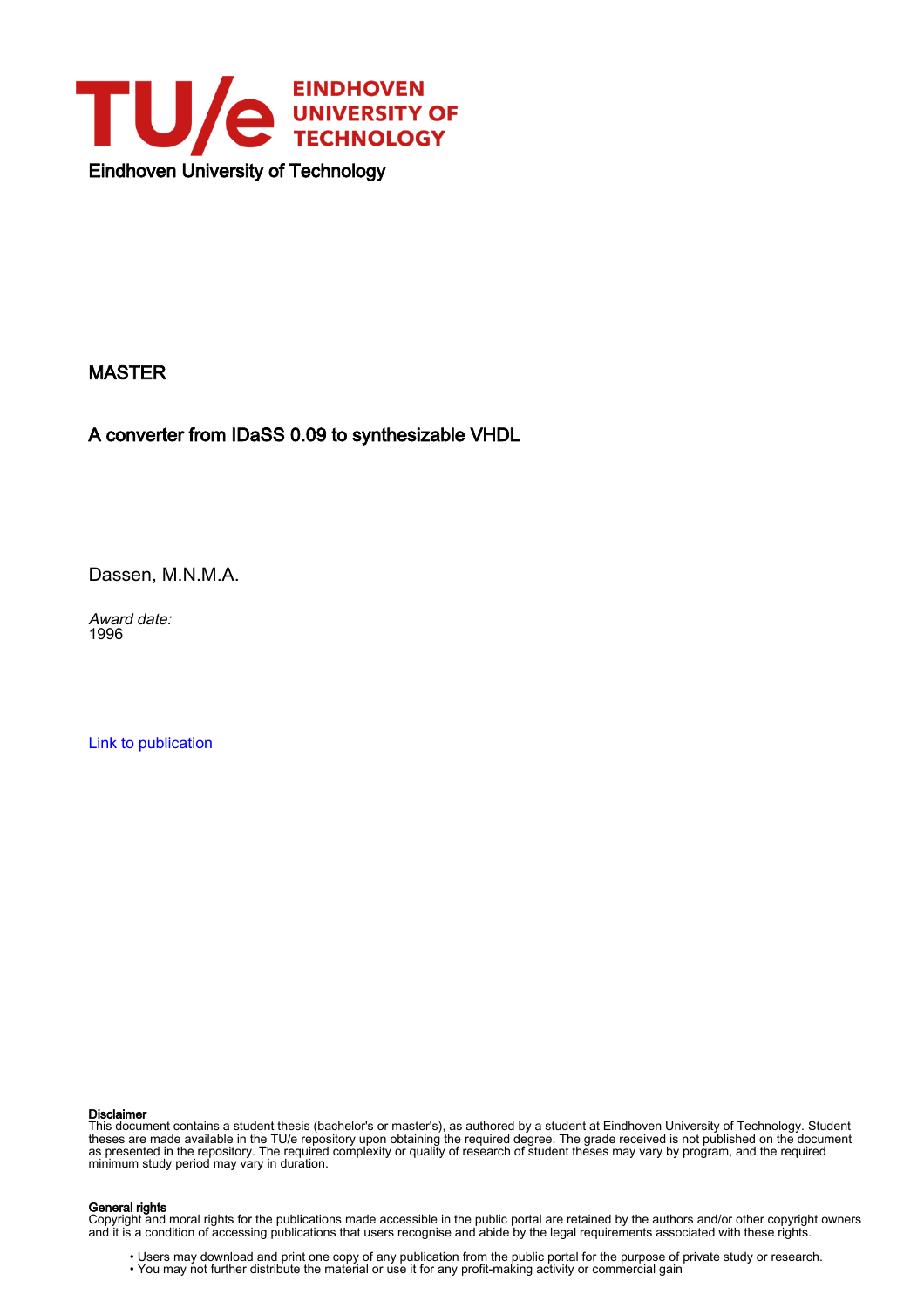

#### MASTER

A converter from IDaSS 0.09 to synthesizable VHDL

Dassen, M.N.M.A.

Award date: 1996

[Link to publication](https://research.tue.nl/en/studentTheses/d30a8537-7d83-4232-92f4-d341fc9975c8)

#### Disclaimer

This document contains a student thesis (bachelor's or master's), as authored by a student at Eindhoven University of Technology. Student theses are made available in the TU/e repository upon obtaining the required degree. The grade received is not published on the document as presented in the repository. The required complexity or quality of research of student theses may vary by program, and the required minimum study period may vary in duration.

#### General rights

Copyright and moral rights for the publications made accessible in the public portal are retained by the authors and/or other copyright owners and it is a condition of accessing publications that users recognise and abide by the legal requirements associated with these rights.

• Users may download and print one copy of any publication from the public portal for the purpose of private study or research.<br>• You may not further distribute the material or use it for any profit-making activity or comm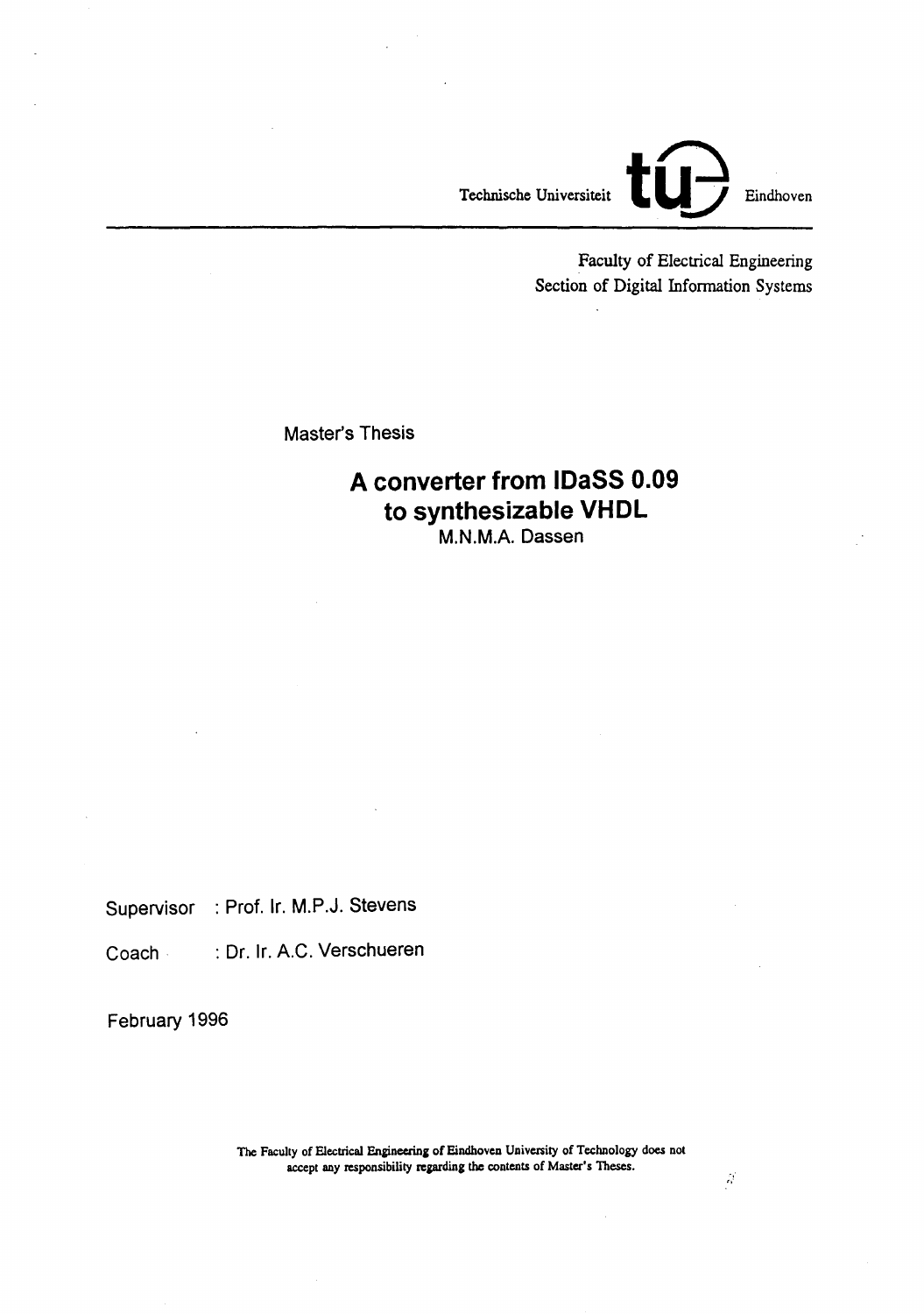

Faculty of Electrical Engineering Section of Digital Information Systems

Master's Thesis

### **A converter from IDaSS 0.09 to synthesizable VHDL**  M.N.M.A. Dassen

Supervisor : Prof. Ir. M.P.J. Stevens

Coach· : Dr. Ir. A.C. Verschueren

February 1996

The Faculty of Electrical Engineering of Eindhoven University of Technology does not accept any responsibility regarding the contents of Master's Theses.

 $\hat{\beta}$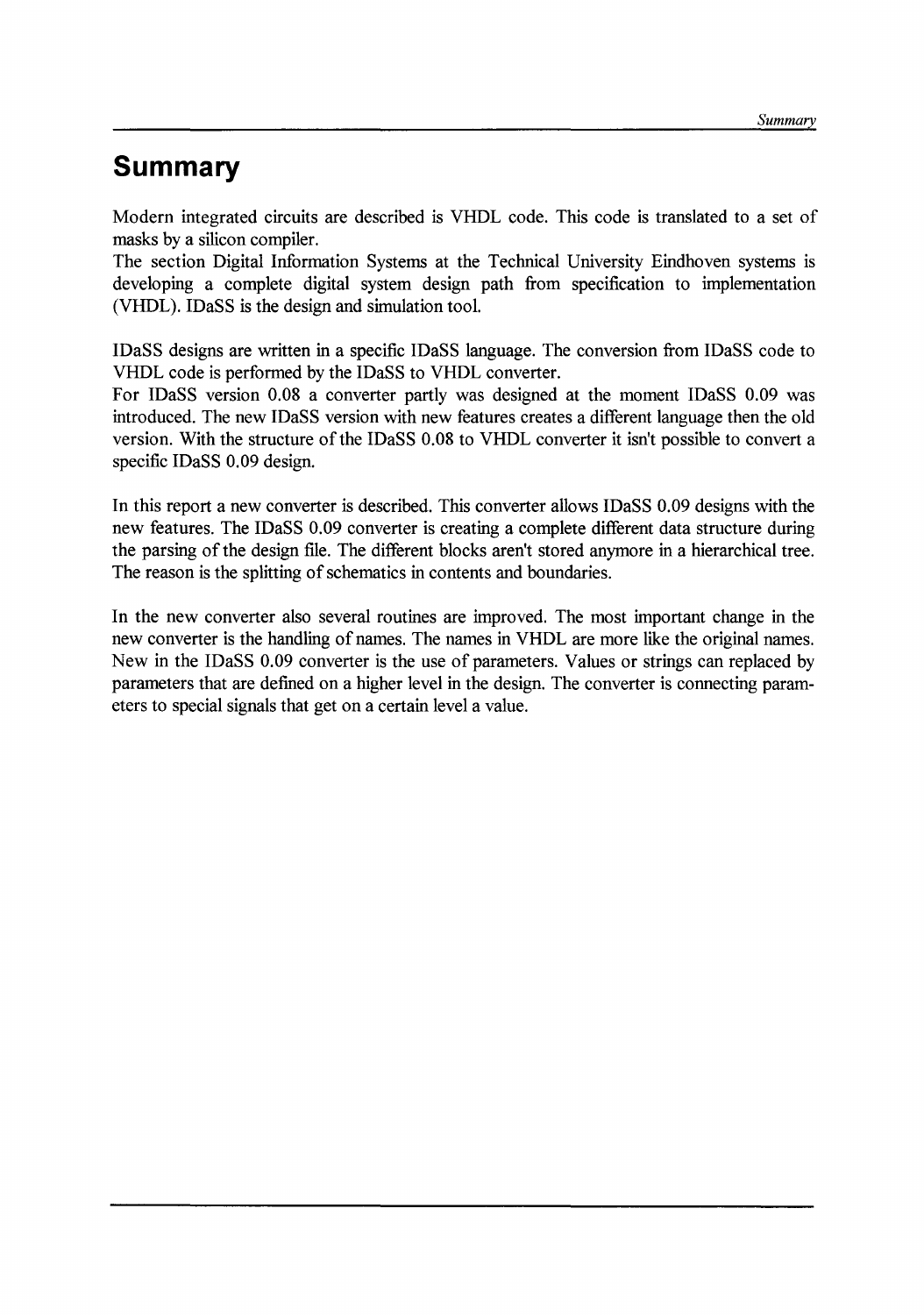## **Summary**

Modern integrated circuits are described is VHDL code. This code is translated to a set of masks by a silicon compiler.

The section Digital Information Systems at the Technical University Eindhoven systems is developing a complete digital system design path from specification to implementation (VHDL). IDaSS is the design and simulation tool.

IDaSS designs are written in a specific IDaSS language. The conversion from IDaSS code to VHDL code is performed by the IDaSS to VHDL converter.

For IDaSS version 0.08 a converter partly was designed at the moment IDaSS 0.09 was introduced. The new IDaSS version with new features creates a different language then the old version. With the structure of the IDaSS 0.08 to VHDL converter it isn't possible to convert a specific IDaSS 0.09 design.

In this report a new converter is described. This converter allows IDaSS 0.09 designs with the new features. The IDaSS 0.09 converter is creating a complete different data structure during the parsing of the design file. The different blocks aren't stored anymore in a hierarchical tree. The reason is the splitting of schematics in contents and boundaries.

In the new converter also several routines are improved. The most important change in the new converter is the handling of names. The names in VHDL are more like the original names. New in the IDaSS 0.09 converter is the use of parameters. Values or strings can replaced by parameters that are defined on a higher level in the design. The converter is connecting parameters to special signals that get on a certain level a value.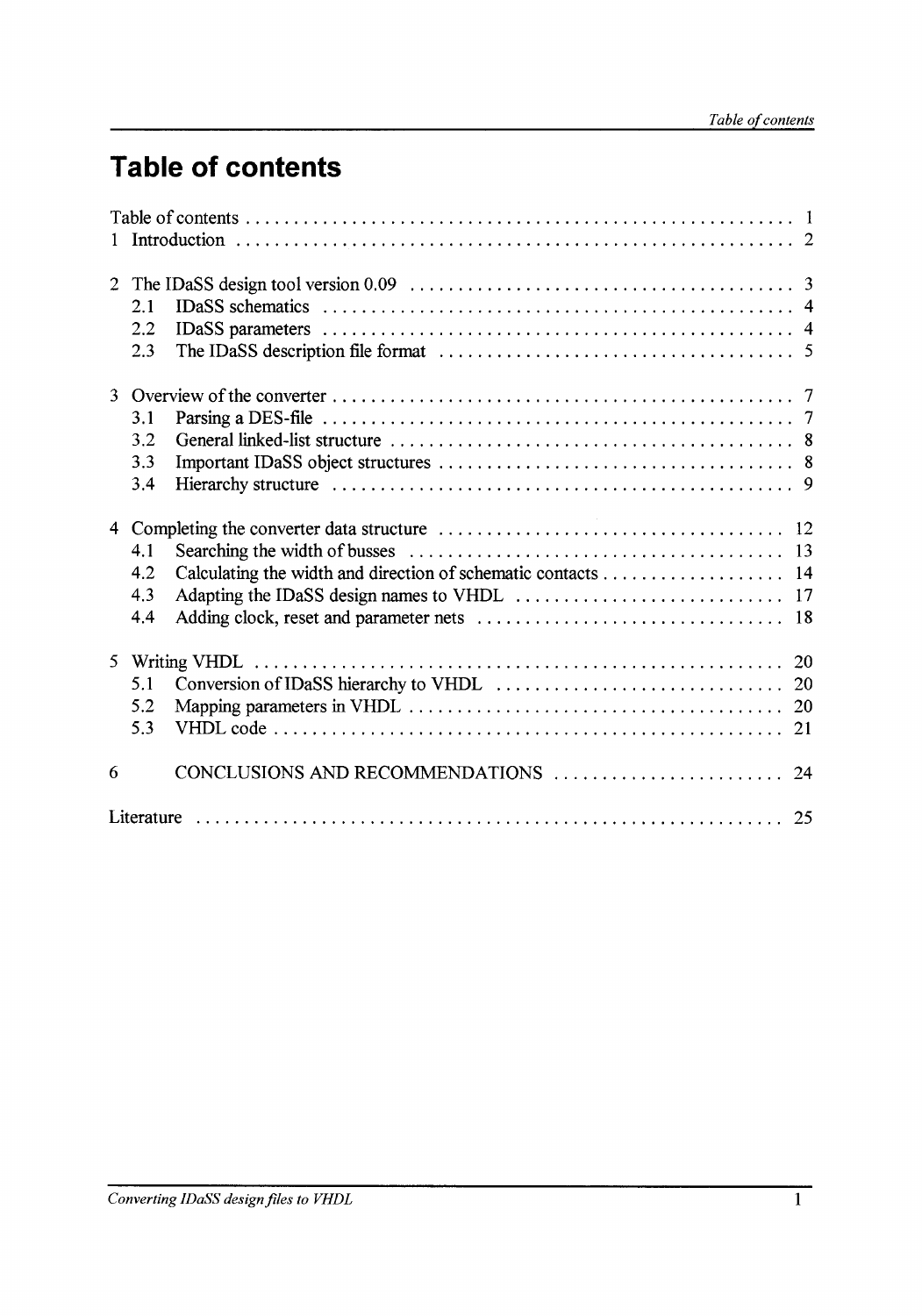# **Table of contents**

| $\overline{2}$ | 2.1<br>2.2<br>2.3                                                                        |  |  |  |  |
|----------------|------------------------------------------------------------------------------------------|--|--|--|--|
|                | 3.1<br>3.2<br>3.3<br>3.4                                                                 |  |  |  |  |
| $\overline{4}$ | 4.1<br>Calculating the width and direction of schematic contacts 14<br>4.2<br>4.3<br>4.4 |  |  |  |  |
|                | 5.1<br>5.2<br>5.3<br>21                                                                  |  |  |  |  |
| 6              |                                                                                          |  |  |  |  |
|                |                                                                                          |  |  |  |  |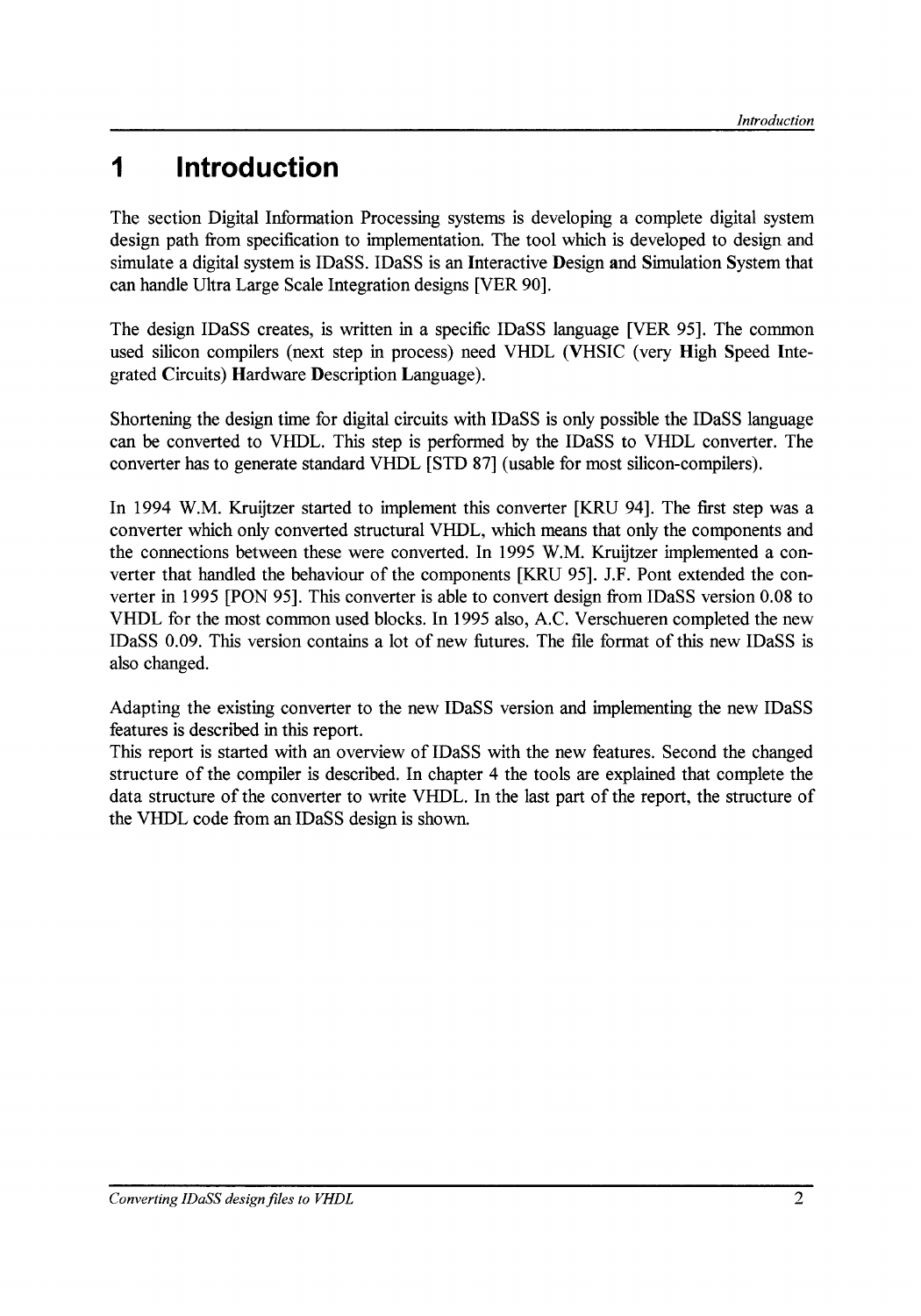## **1 Introduetion**

The section Digital Information Processing systems is developing a complete digital system design path from specification to implementation. The tool which is developed to design and simulate a digital system is IDaSS. IDaSS is an Interactive Design and Simulation System that can handle Ultra Large Scale Integration designs [VER 90].

The design IDaSS creates, is written in a specitic IDaSS language [VER 95]. The common used silicon compilers (next step in process) need VHDL (VHSIC (very High Speed Integrated Circuits) Hardware Description Language ).

Shortening the design time for digital circuits with IDaSS is only possible the IDaSS language can be converted to VHDL. This step is performed by the IDaSS to VHDL converter. The converter has to generate standard VHDL [STD 87] (usable for most silicon-compilers).

In 1994 W.M. Kruijtzer started to implement this converter [KRU 94]. The first step was a converter which only converted structural VHDL, which means that only the components and the connections between these were converted. In 1995 W.M. Kruijtzer implemented a converter that handled the behaviour of the components [KRU 95]. J.F. Pont extended the converter in 1995 [PON 95]. This converter is able to convert design from IDaSS version 0.08 to VHDL for the most common used blocks. In 1995 also, A.C. Verschueren completed the new IDaSS 0.09. This version contains a lot of new futures. The file format of this new IDaSS is also changed.

Adapting the existing converter to the new IDaSS version and implementing the new IDaSS features is described in this report.

This report is started with an overview of IDaSS with the new features. Second the changed structure of the compiler is described. In chapter 4 the tools are explained that complete the data structure of the converter to write VHDL. In the last part of the report, the structure of the VHDL code from an IDaSS design is shown.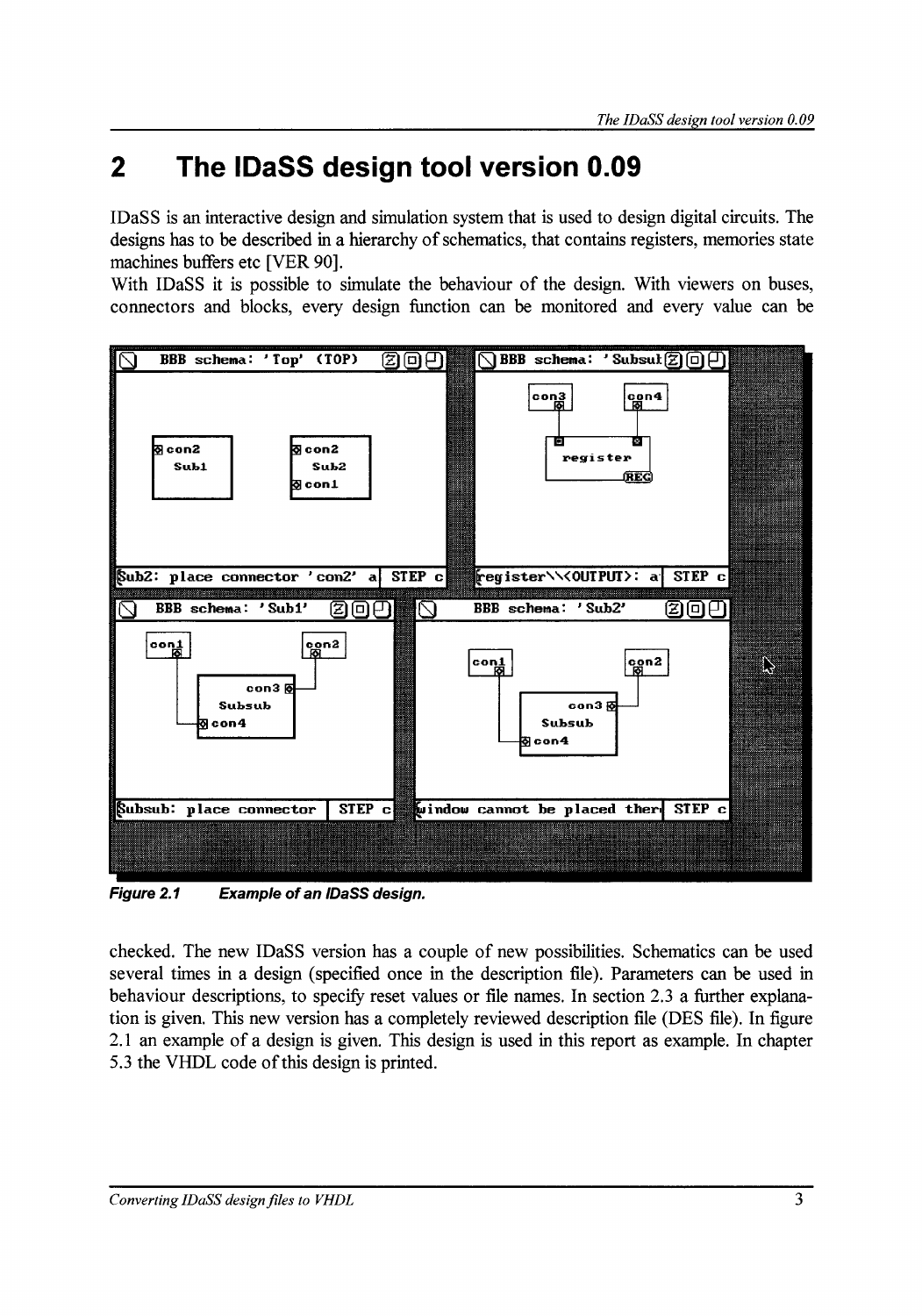## **2 The IDaSS design tooi version 0.09**

IDaSS is an interactive design and simulation system that is used to design digital circuits. The designs has to be described in a hierarchy of schematics, that contains registers, memories state machines buffers etc [VER 90].

With IDaSS it is possible to simulate the behaviour of the design. With viewers on buses, connectors and blocks, every design function can be monitored and every value can be



Figure 2.1 Example of an IDaSS design.

checked. The new IDaSS version has a couple of new possibilities. Schematics can be used several times in a design (specified once in the description file). Parameters can be used in behaviour descriptions, to specify reset values or file names. In section 2.3 a further explanation is given. This new version has a completely reviewed description file (DES file). In figure 2.1 an example of a design is given. This design is used in this report as example. In chapter 5.3 the VHDL code of this design is printed.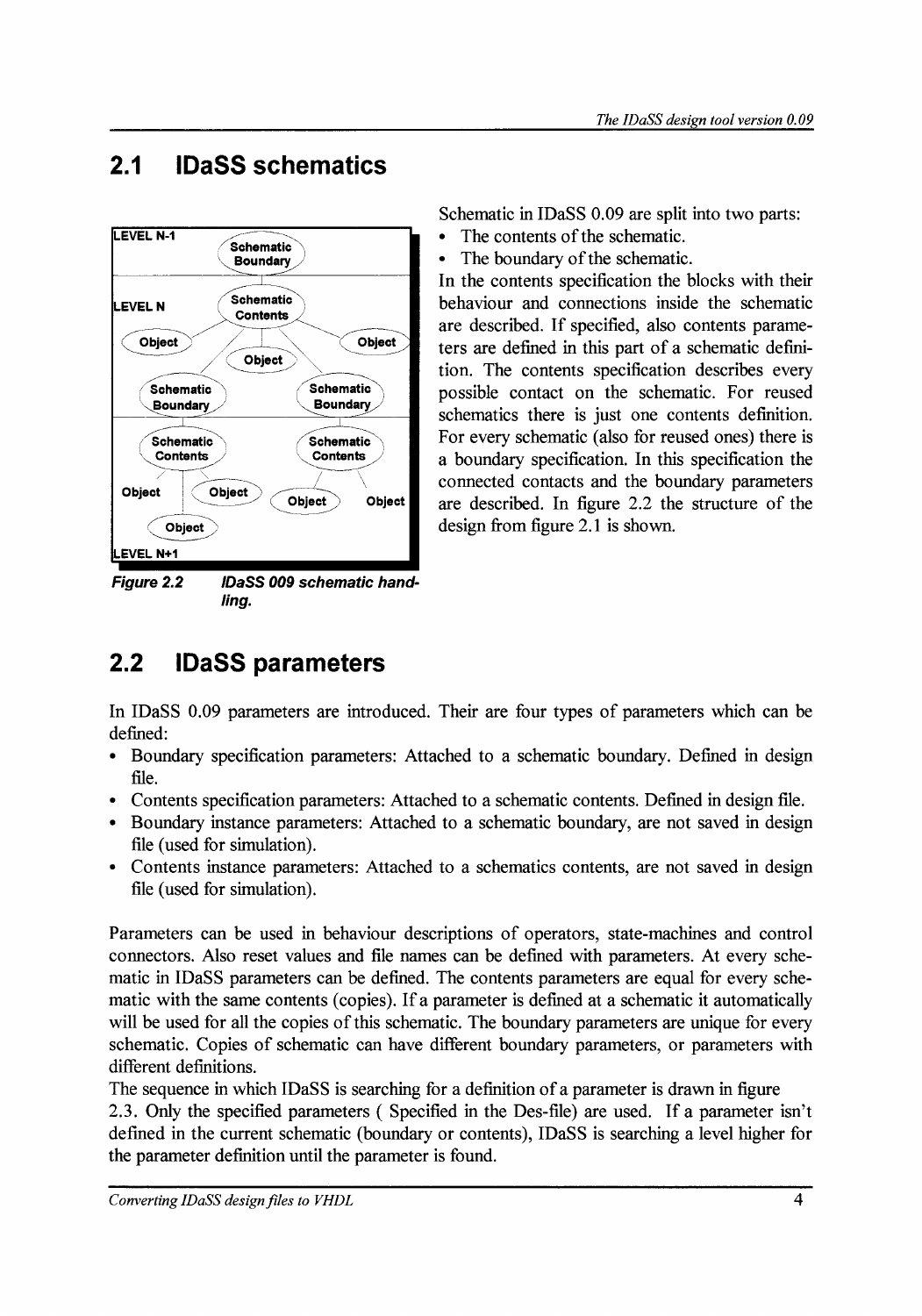## **2.1 IDaSS schematics**



**/ing.** 

Schematic in IDaSS 0.09 are split into two parts:

- The contents of the schematic.
- The boundary of the schematic.

In the contents specification the blocks with their behaviour and connections inside the schematic are described. If specified, also contents parameters are defined in this part of a schematic definition. The contents specification describes every possible contact on the schematic. For reused schematics there is just one contents definition. For every schematic (also for reused ones) there is a boundary specification. In this specification the connected contacts and the boundary parameters are described. In figure 2.2 the structure of the design from figure 2.1 is shown.

## **2.2 IDaSS parameters**

In IDaSS 0.09 parameters are introduced. Their are four types of parameters which can be defined:

- Boundary specification parameters: Attached to a schematic boundary. Defined in design file.
- Contents specification parameters: Attached to a schematic contents. Defined in design file.
- Boundary instance parameters: Attached to a schematic boundary, are not saved in design file (used for simulation).
- Contents instanee parameters: Attached to a schematics contents, are not saved in design file (used for simulation).

Parameters can be used in behaviour descriptions of operators, state-machines and control connectors. Also reset values and file names can be defined with parameters. At every schematic in IDaSS parameters can be defined. The contents parameters are equal for every schematic with the same contents (copies). If a parameter is defined at a schematic it automatically will be used for all the copies of this schematic. The boundary parameters are unique for every schematic. Copies of schematic can have different boundary parameters, or parameters with different definitions.

The sequence in which IDaSS is searching for a definition of a parameter is drawn in figure 2.3. Only the specified parameters ( Specified in the Des-file) are used. If a parameter isn't defmed in the current schematic (boundary or contents), IDaSS is searching a level higher for the parameter definition until the parameter is found.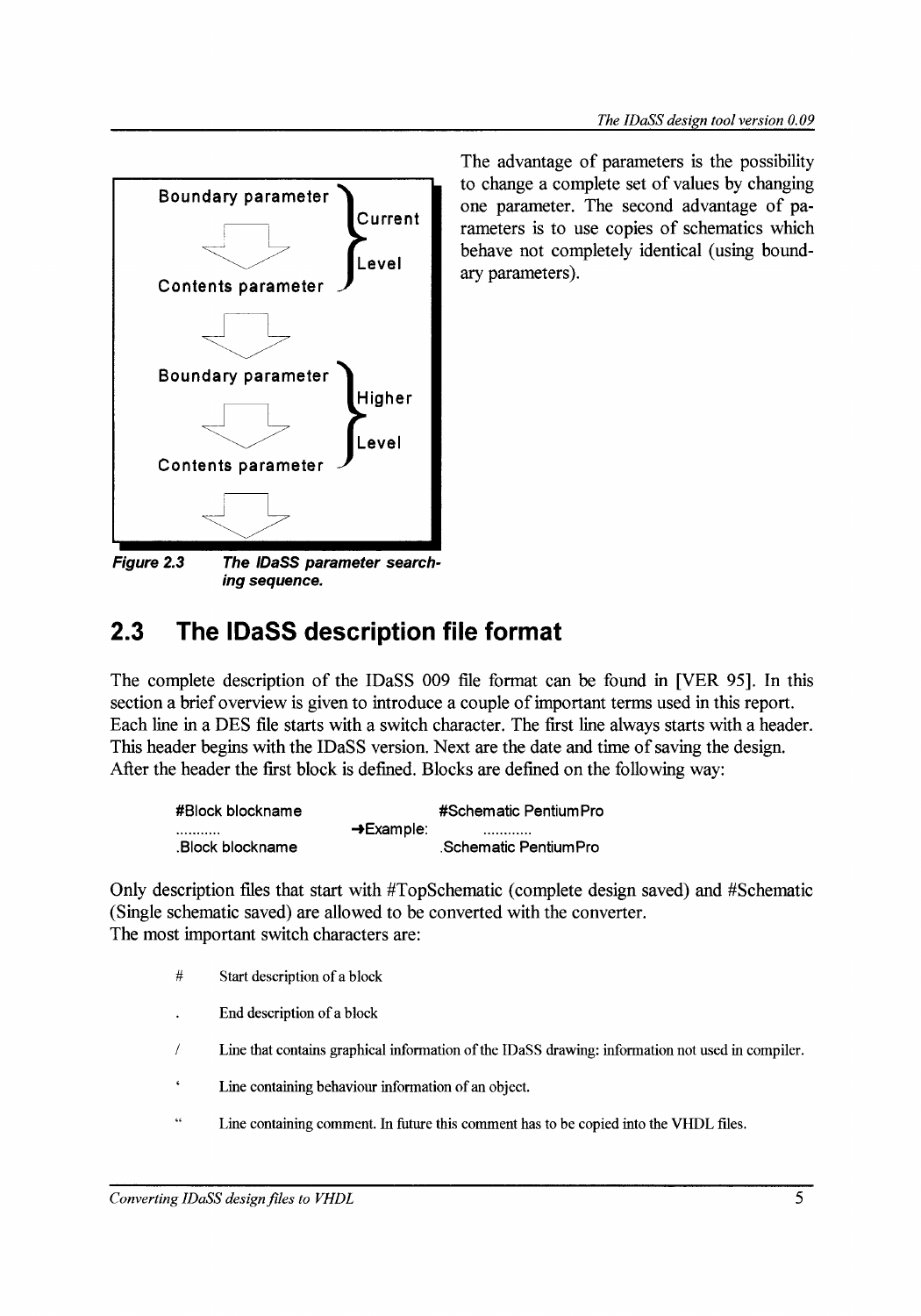

The advantage of parameters is the possibility to change a complete set of values by changing one parameter. The second advantage of parameters is to use copies of schematics which behave not completely identical (using boundary parameters).

Figure 2.3 The /DaSS parameter searching sequence.

## **2.3 The IDaSS description file format**

The complete description of the IDaSS 009 file format can be found in [VER 95]. In this section a brief overview is given to introduce a couple of important terms used in this report. Each line in a DES file starts with a switch character. The first line always starts with a header. This header begins with the IDaSS version. Next are the date and time of saving the design. After the header the first block is defined. Blocks are defined on the following way:

| #Block blockname |                        | #Schematic PentiumPro  |
|------------------|------------------------|------------------------|
|                  | $\rightarrow$ Example: |                        |
| .Block blockname |                        | . Schematic PentiumPro |

Only description files that start with #TopSchematic (complete design saved) and #Schematic (Single schematic saved) are allowed to be converted with the converter. The most important switch characters are:

- # Start description of a block
- End description of a block
- / Line that contains graphical information of the IDaSS drawing: information not used in compiler.
- $\epsilon$ Line containing behaviour information of an object.
- $\overline{\mathbf{G}}$ Line containing comment. In future this comment has to be copied into the VHDL files.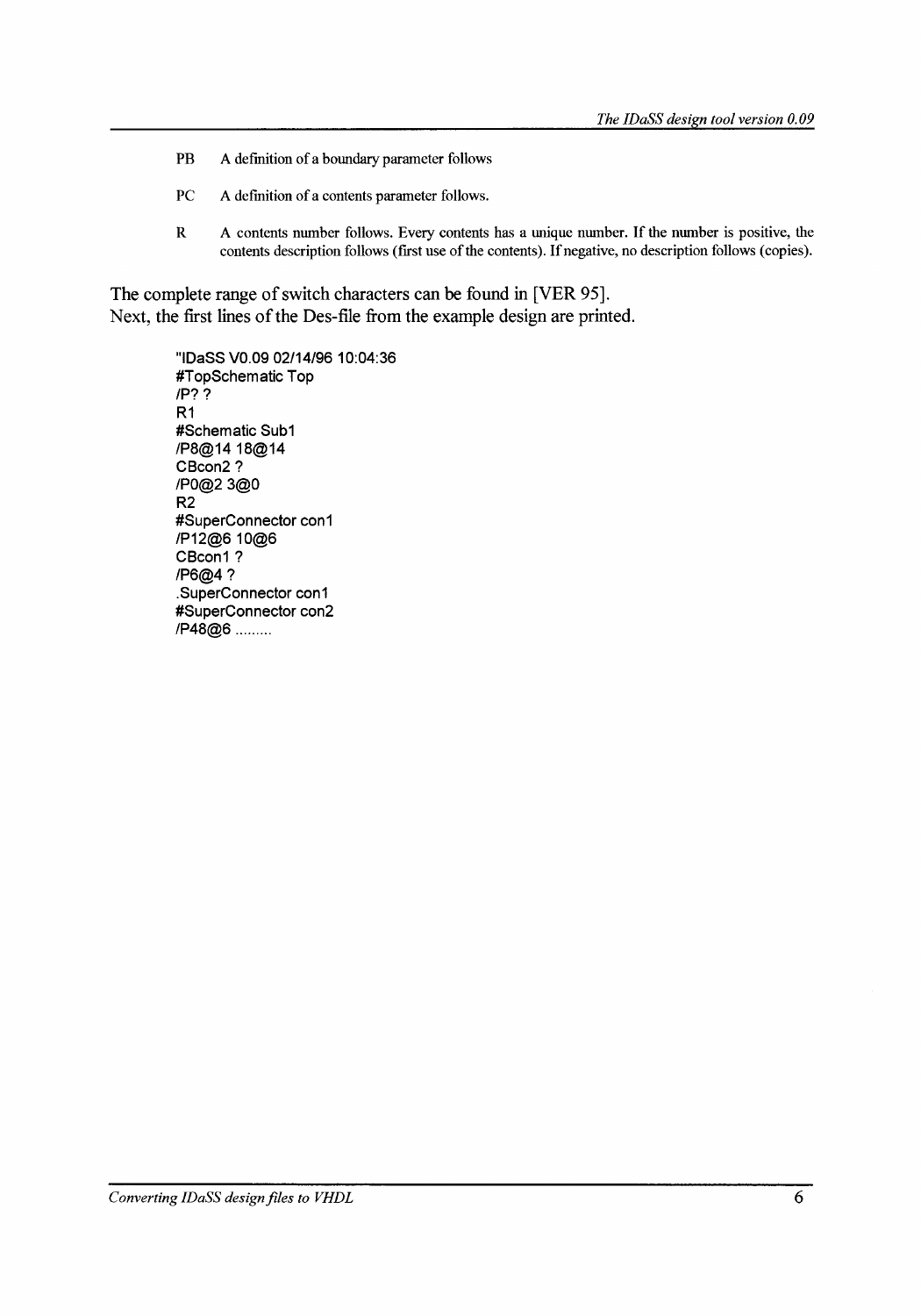- PB A definition of a boundary parameter follows
- PC A definition of a contents parameter follows.
- R A contents number follows. Every contents has a unique number. If the number is positive, the contents description follows (first use of the contents). If negative, no description follows (copies).

The complete range of switch characters can be found in [VER 95]. Next, the first lines of the Des-file from the example design are printed.

> "IDaSS V0.09 02/14/96 10:04:36 #TopSchematic Top /P?? R1 #Schematic Sub1 /P8@14 18@14 CBcon2? /P0@2 3@0 R2 #SuperConnector con1 /P12@610@6 CBcon1? /P6@4? .SuperConnector con1 #SuperConnector con2 /P48@6 .........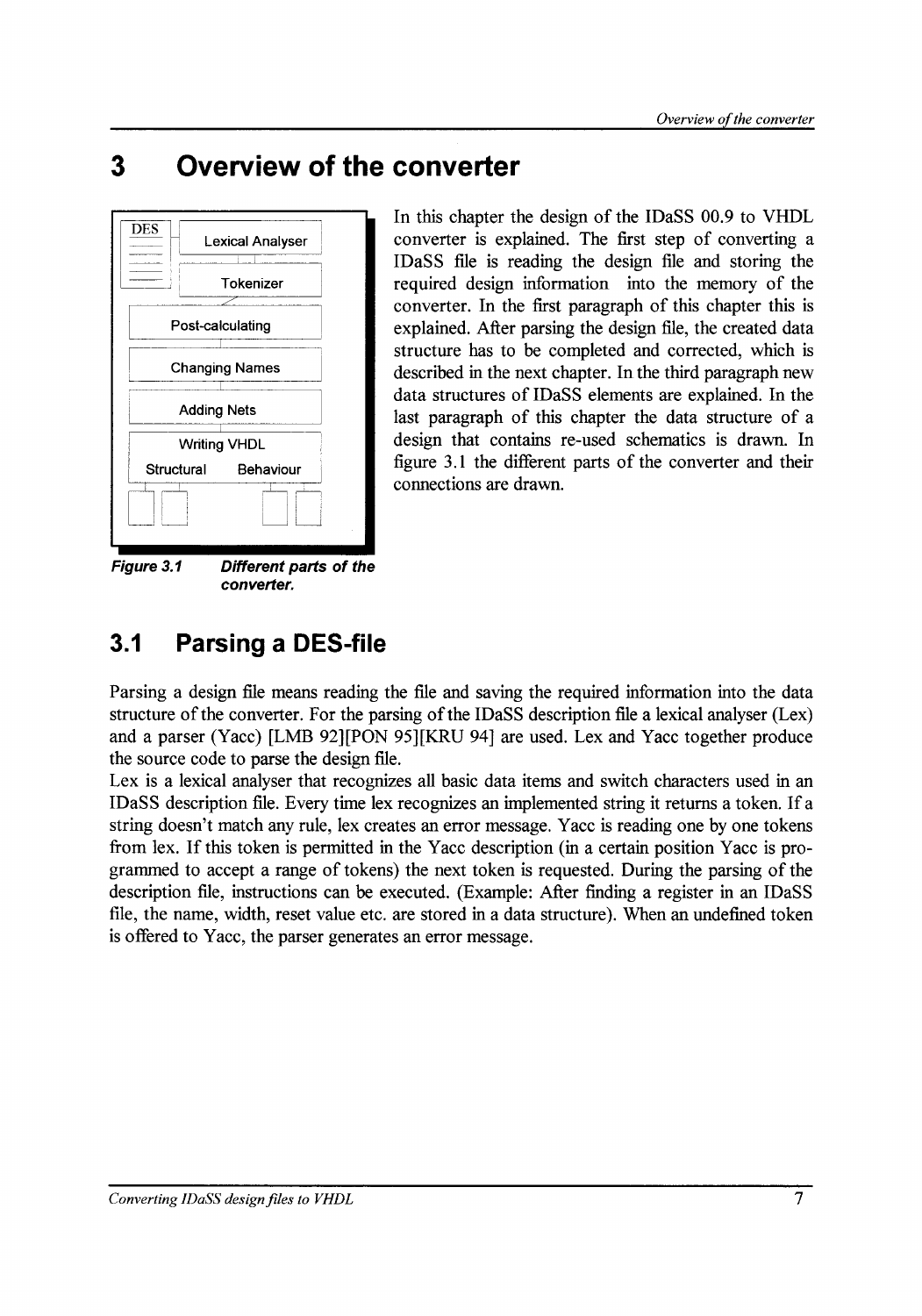## **3 Overview of the converter**



**Figure 3.1 Different parts of the converter.** 

In this chapter the design of the IDaSS 00.9 to VHDL converter is explained. The first step of converting a IDaS S file is reading the design file and storing the required design information into the memory of the converter. In the first paragraph of this chapter this is explained. After parsing the design file, the created data structure has to be completed and corrected, which is described in the next chapter. In the third paragraph new data structures of IDaSS elements are explained. In the last paragraph of this chapter the data structure of a design that contains re-used schematics is drawn. In figure 3.1 the different parts of the converter and their connections are drawn.

## **3.1 Parsing a DES-file**

Parsing a design file means reading the file and saving the required information into the data structure of the converter. For the parsing of the IDaSS description file a lexical analyser  $(Lex)$ and a parser (Yacc) [LMB 92][PON 95J[KRU 94] are used. Lex and Yacc together produce the souree code to parse the design file.

Lex is a lexical analyser that recognizes all basic data items and switch characters used in an IDaSS description file. Every time lex recognizes an implemented string it returns a token. If a string doesn't match any rule, lex creates an error message. Y ace is reading one by one tokens from lex. If this token is permitted in the Yacc description (in a certain position Yacc is programmed to accept a range of tokens) the next token is requested. During the parsing of the description file, instructions can be executed. (Example: After finding a register in an IDaSS file, the name, width, reset value etc. are stored in a data structure). When an undefined token is offered to Yacc, the parser generates an error message.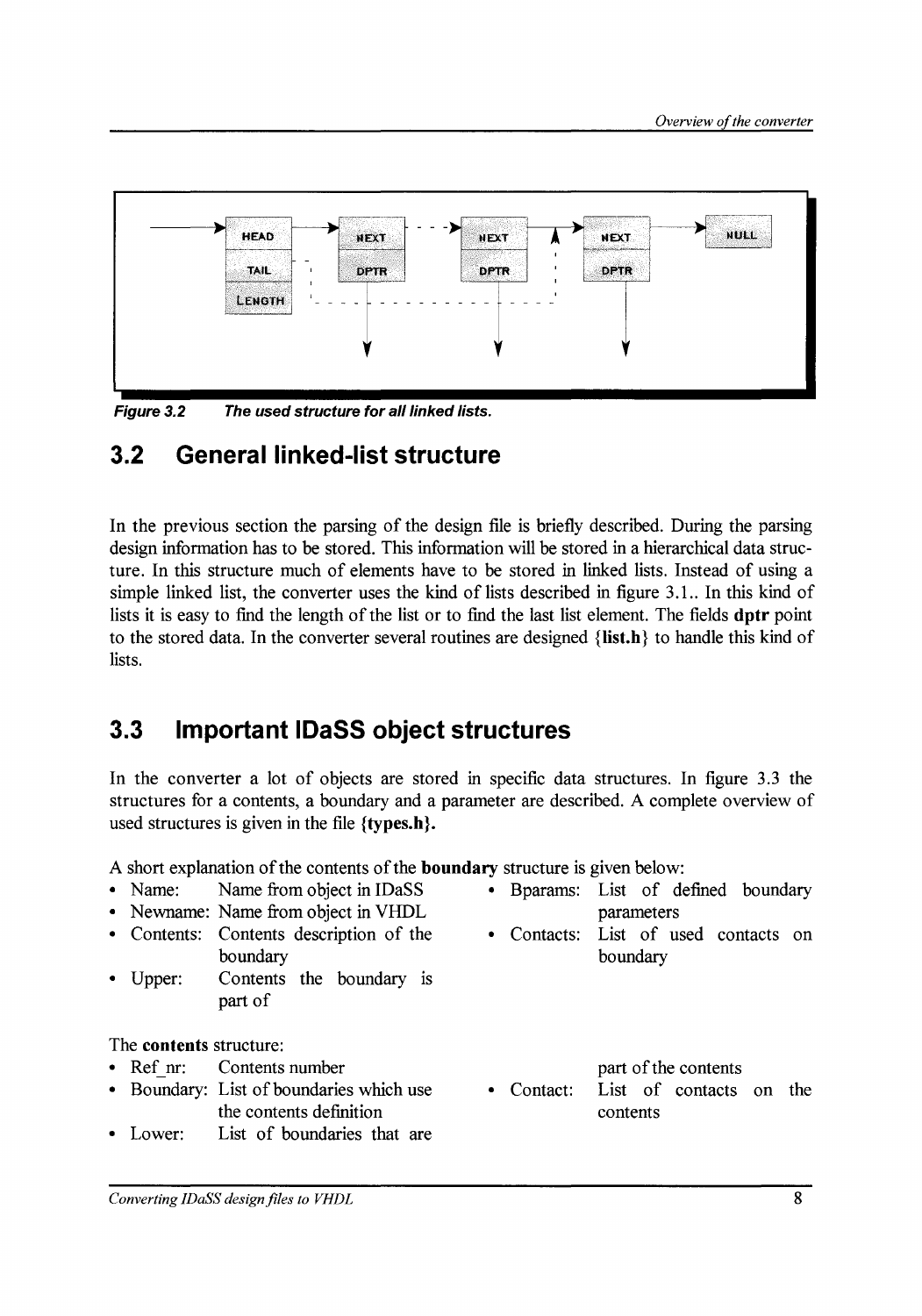

**Figure 3.2 The used structure for all linked lists.** 

### **3.2 General linked-list structure**

In the previous section the parsing of the design file is briefly described. During the parsing design information has to be stored. This information will be stored in a hierarchical data structure. In this structure much of elements have to be stored in linked lists. Instead of using a simple linked list, the converter uses the kind of lists described in figure 3.1.. In this kind of lists it is easy to find the length of the list or to find the last list element. The fields **dptr** point to the stored data. In the converter several routines are designed **{list.h}** to handle this kind of lists.

### **3.3 Important IDaSS object structures**

In the converter a lot of objects are stored in specific data structures. In figure 3.3 the structures for a contents, a boundary and a parameter are described. A complete overview of used structures is given in the file **{types.h}.** 

A short explanation of the contents of the **boundary** structure is given below:

- 
- Newname: Name from object in VHDL parameters
- boundary boundary boundary
- Upper: Contents the boundary is part of

The **contents** structure:

- Ref nr: Contents number
- Boundary: List of boundaries which use the contents definition
- Lower: List of boundaries that are
- Name: Name from object in IDaSS Bparams: List of defined boundary
	- Contents: Contents description of the Contacts: List of used contacts on

part of the contents

Contact: List of contacts on the contents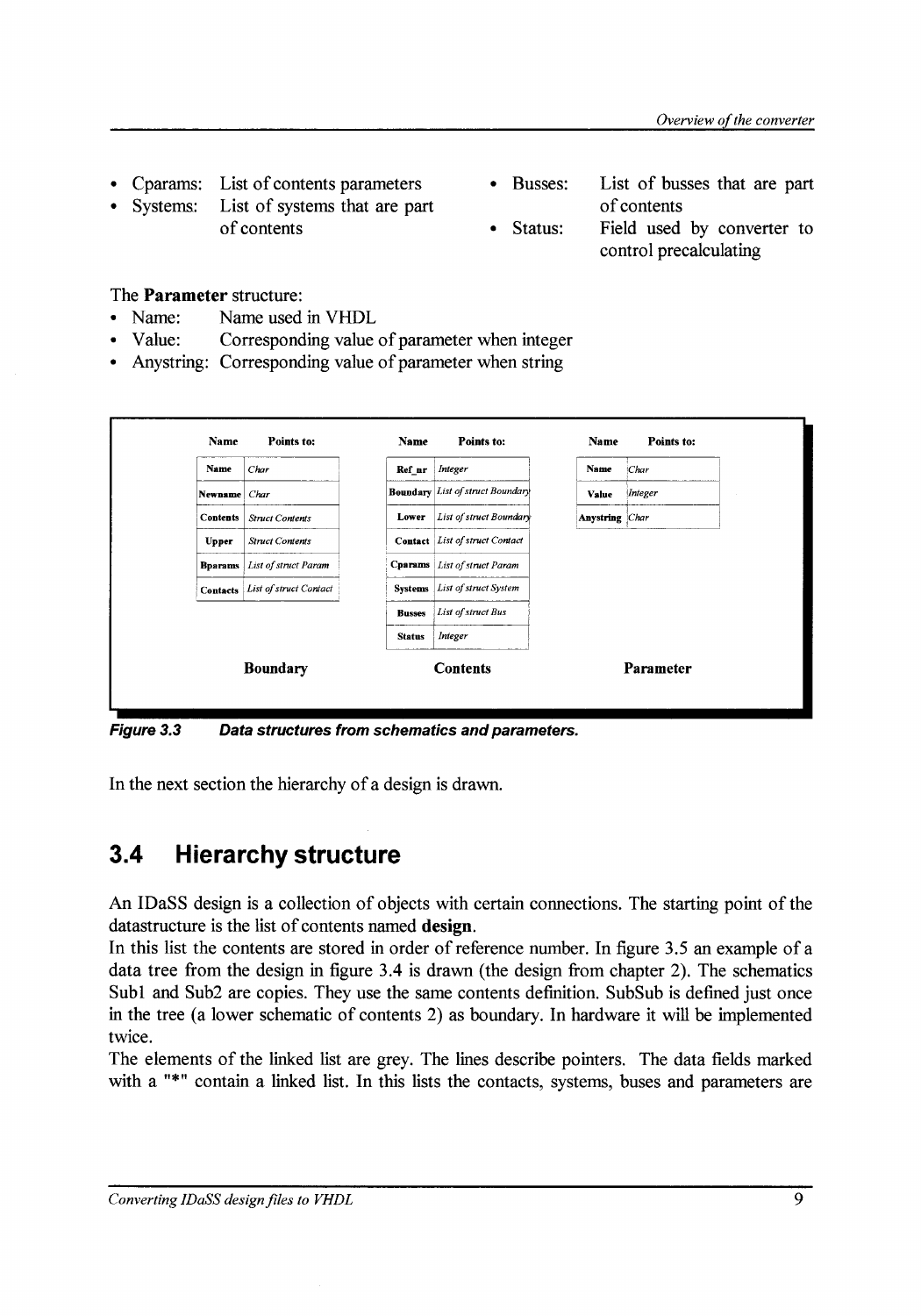- Cparams: List of contents parameters
- List of systems that are part of contents Systems:
- Busses: List of busses that are part of contents
	- Status: Field used by converter to control precalculating

### The Parameter structure:

- Name: Name used in VHDL
- Value: Corresponding value of parameter when integer
- Anystring: Corresponding value of parameter when string



Figure 3.3 Data structures from schematics and parameters.

In the next section the hierarchy of a design is drawn.

## 3.4 Hierarchy structure

An IDaSS design is a collection of objects with certain connections. The starting point of the datastructure is the list of contents named design.

In this list the contents are stored in order of reference number. In figure 3.5 an example of a data tree from the design in figure 3.4 is drawn (the design from chapter 2). The schematics Subl and Sub2 are copies. They use the same contents definition. SubSub is defined just once in the tree (a lower schematic of contents 2) as boundary. In hardware it will be implemented twice.

The elements of the linked list are grey. The lines describe pointers. The data fields marked with a "\*" contain a linked list. In this lists the contacts, systems, buses and parameters are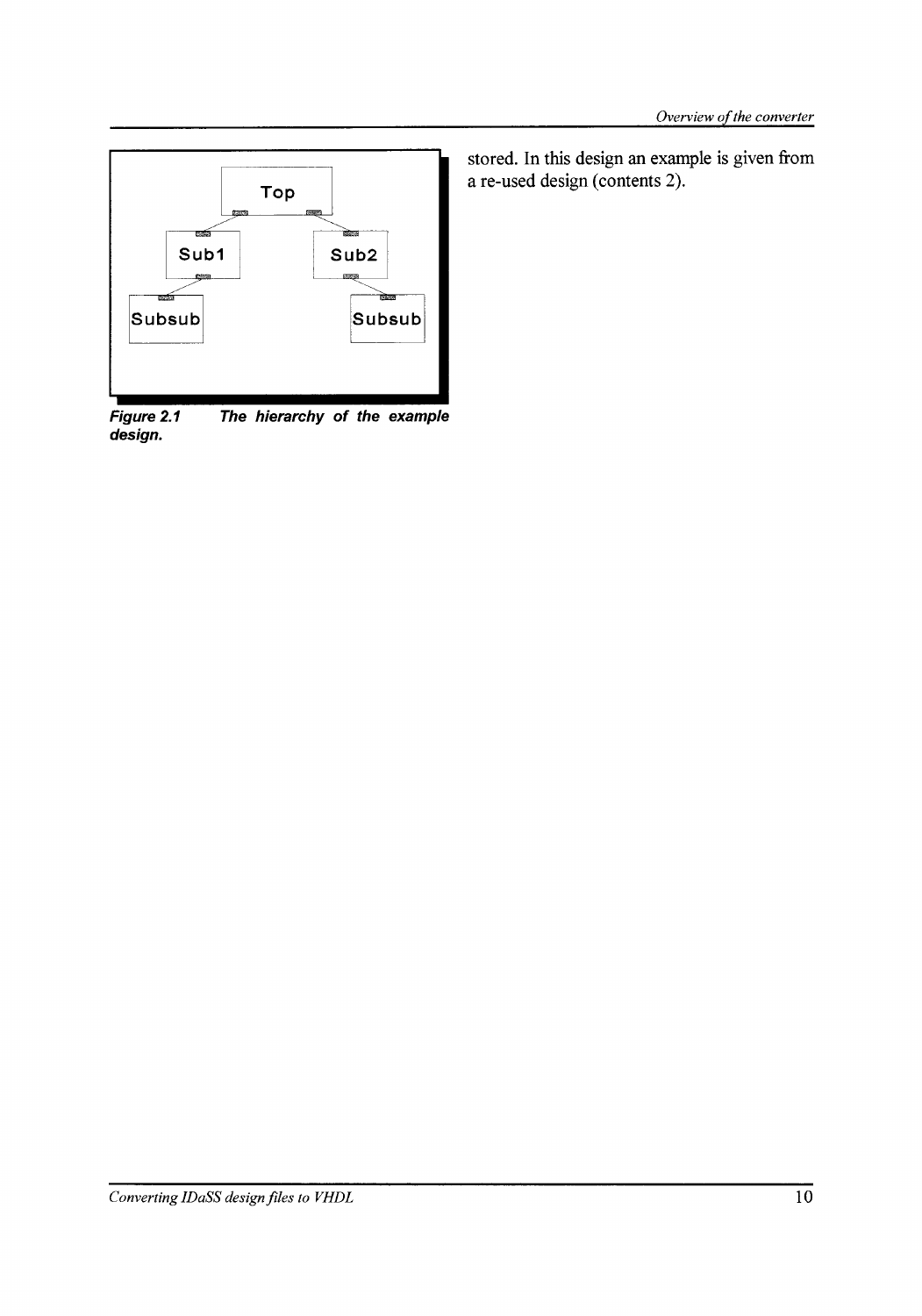

**Figure 2.1 design. The hierarchy of the example** 

stored. In this design an example is given from a re-used design (contents 2).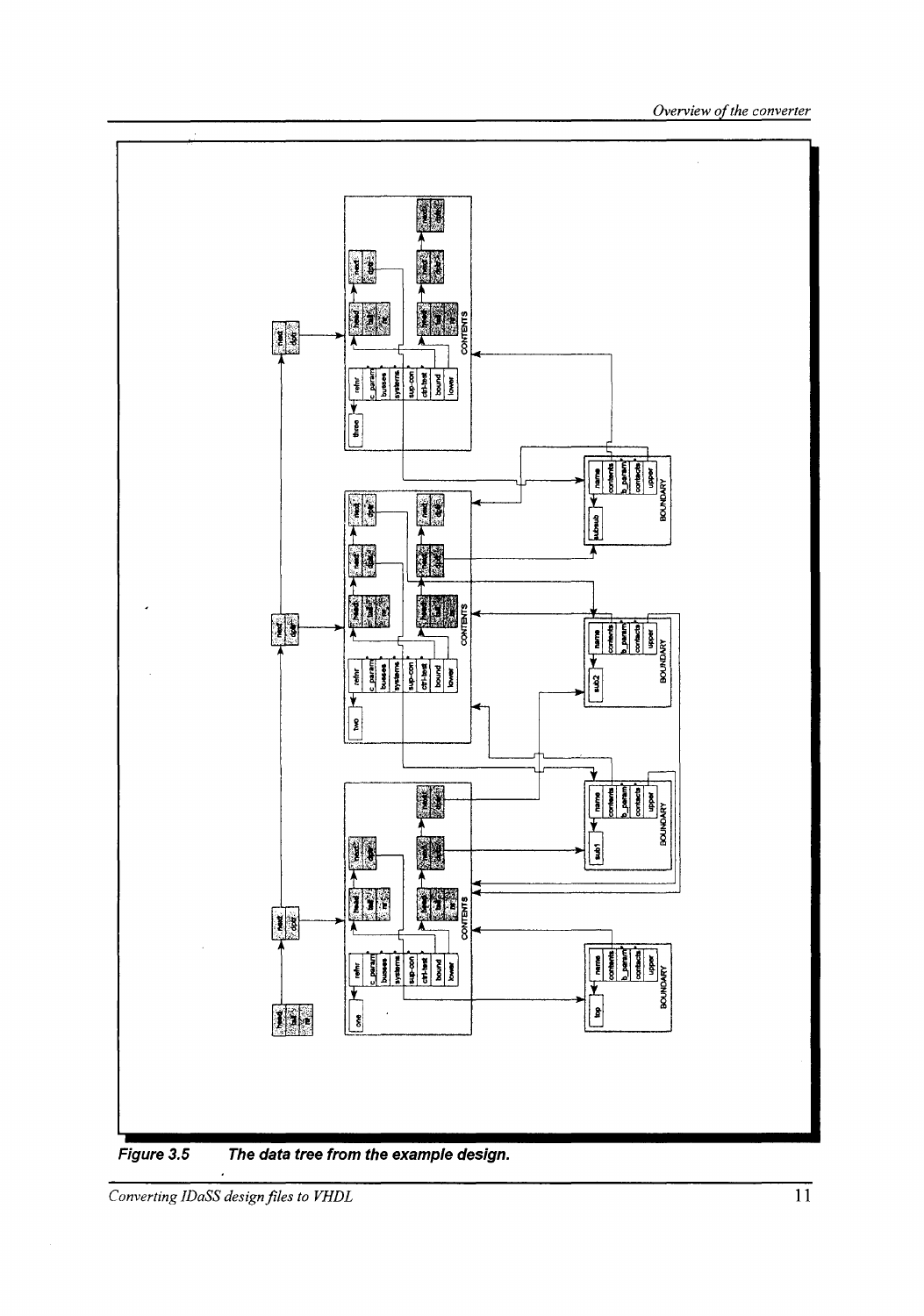

Figure 3.5 The data tree from the example design.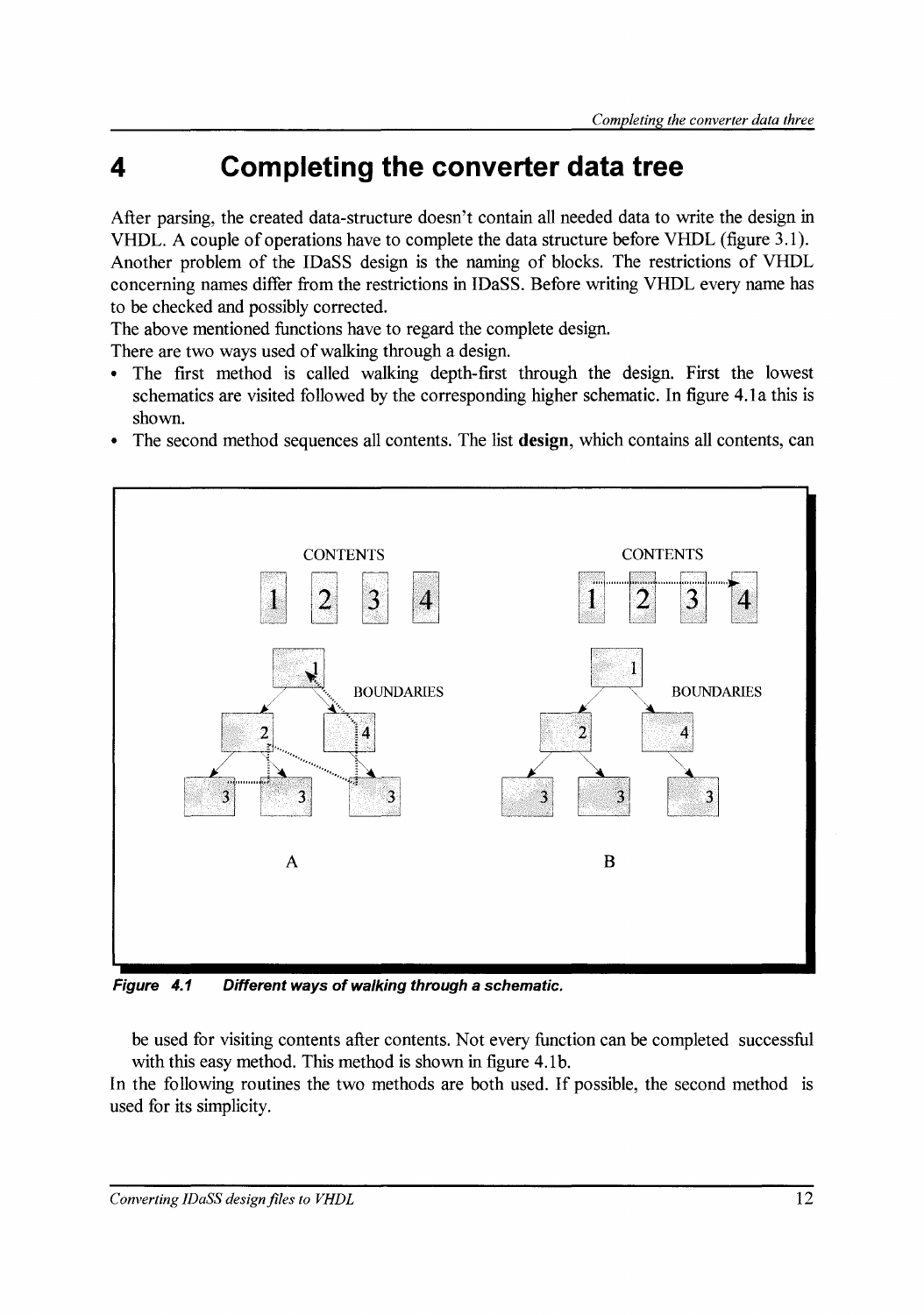## **4 Completing the converter data tree**

After parsing, the created data-structure doesn't contain all needed data to write the design in VHDL. A couple of operations have to complete the data structure before VHDL (figure 3.1). Another problem of the IDaSS design is the naming of blocks. The restrictions of VHDL concerning narnes differ from the restrictions in IDaSS. Before writing VHDL every name has to be checked and possibly corrected.

The above mentioned functions have to regard the complete design.

There are two ways used of walking through a design.

- The first method is called walking depth-first through the design. First the lowest schematics are visited followed by the corresponding higher schematic. In figure 4.1a this is shown.
- The second method sequences all contents. The list **design,** which contains all contents, can



**Figure 4.1 Different ways of walking through a schematic.** 

be used for visiting contents after contents. Not every function can be completed successful with this easy method. This method is shown in figure 4.1b.

In the following routines the two methods are both used. If possible, the second method is used for its simplicity.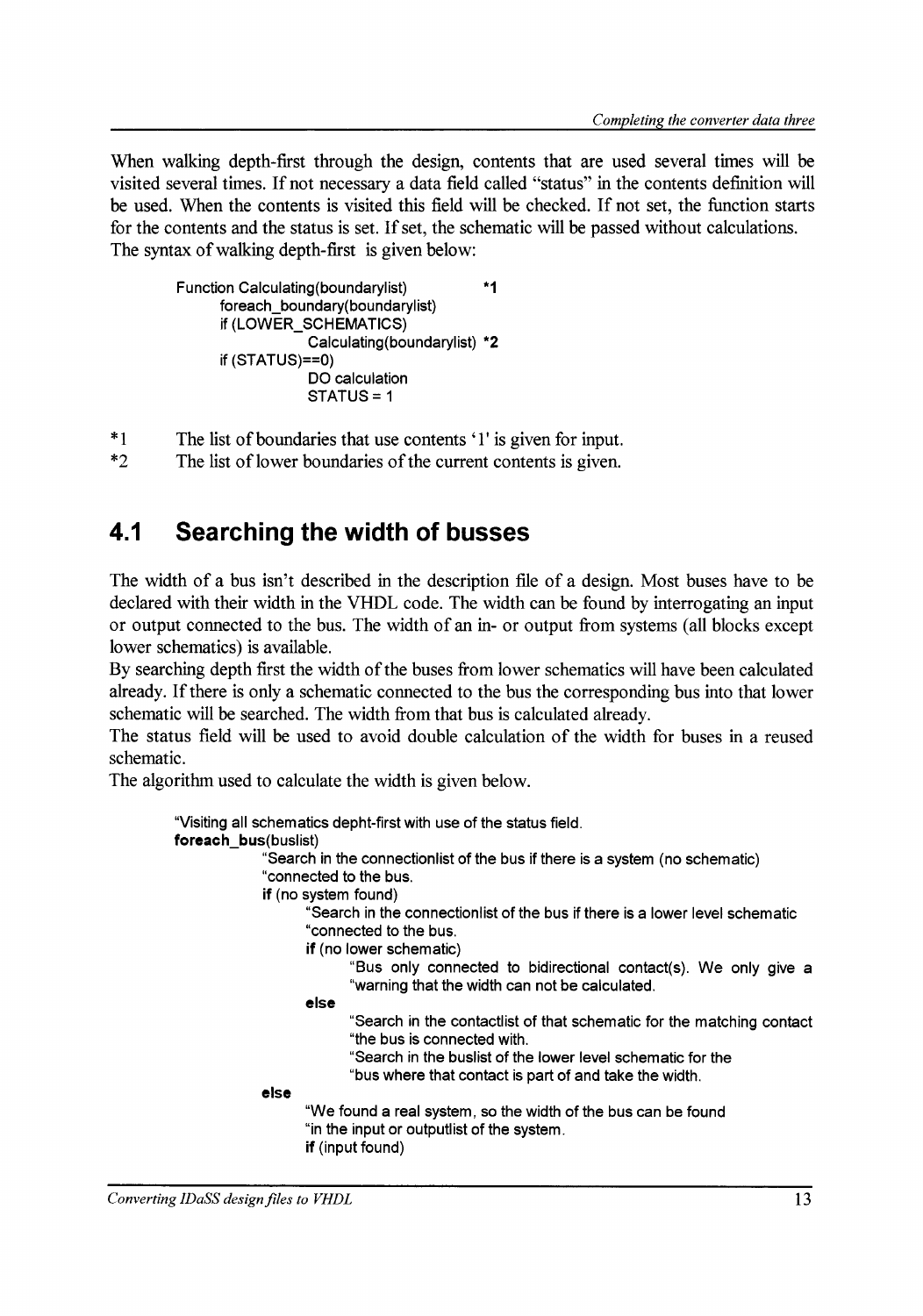When walking depth-first through the design, contents that are used several times will be visited several times. lf not necessary a data field called "status" in the contents definition will he used. When the contents is visited this field will he checked. If not set, the function starts for the contents and the status is set. If set, the schematic will be passed without calculations. The syntax of walking depth-first is given below:

```
Function Calculating(boundarylist) *1 
     foreach boundary(boundarylist)
     if (LOWER_SCHEMATICS) 
                 Calculating(boundarylist) *2 
     if (STATUS)==O) 
                 DO calculation 
                 STATUS = 1
```
- \*1 The list of boundaries that use contents '1' is given for input.<br>\*2 The list of lower boundaries of the current contents is given.
- The list of lower boundaries of the current contents is given.

### **4.1 Searching the width of busses**

The width of a bus isn't described in the description file of a design. Most buses have to he declared with their width in the VHDL code. The width can he found by interrogating an input or output connected to the bus. The width of an in- or output from systerns (all blocks except lower schematics) is available.

By searching depth first the width of the buses from lower schematics will have been calculated already. If there is only a schematic connected to the bus the corresponding bus into that lower schematic will he searched. The width from that bus is calculated already.

The status field will he used to avoid double calculation of the width for buses in a reused schematic.

The algorithm used to calculate the width is given below.

```
"Visiting all schematics depht-first with use of the status field. 
foreach_bus(buslist) 
              "Search in the connectionlist of the bus if there is a system (no schematic) 
             "connected to the bus. 
             if (no system found) 
                    "Search in the connectionlist of the bus if there is a lower level schematic 
                    "connected to the bus. 
             el se 
                    if (no lower schematic) 
                    el se 
                           "Bus only connected to bidirectional contact(s). We only give a 
                           "warning that the width can not be calculated. 
                           "Search in the contactlist of that schematic for the matching contact 
                           "the bus is connected with. 
                           "Search in the buslist of the lower level schematic for the 
                           "bus where that contact is part of and take the width. 
                    "We found a real system, so the width of the bus can be found 
                    "in the input or outputlist of the system. 
                    if (input found)
```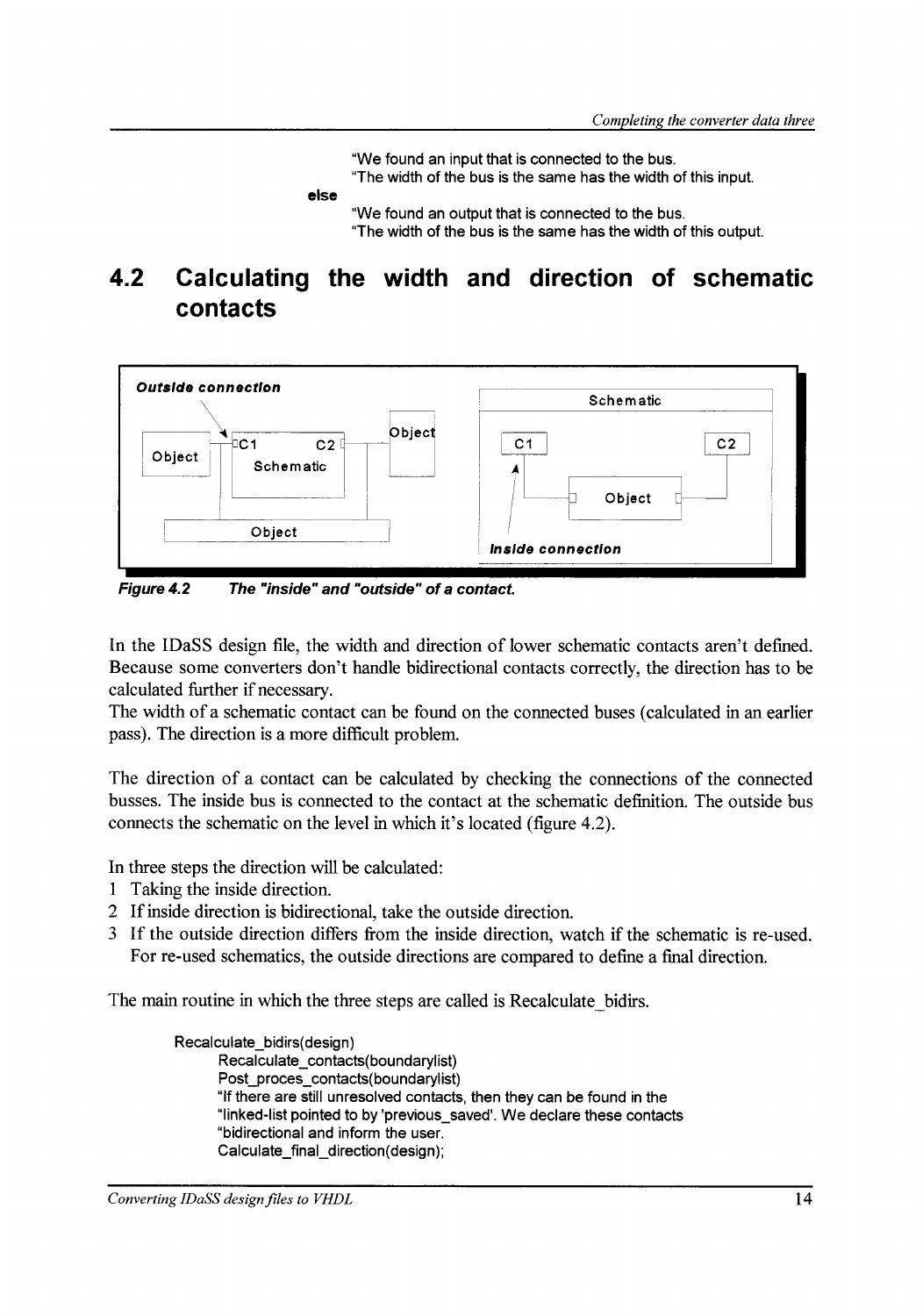"We found an input that is connected to the bus.

"The width of the bus is the same has the width of this input.

**else** 

"We found an output that is connected to the bus. "The width of the bus is the same has the width of this output.

### **4.2 Calculating the width and direction of schematic contacts**



**Figure4.2 The "inside" and "outside" of a contact.** 

In the IDaSS design file, the width and direction of lower schematic contacts aren't defined. Because some converters don't handle bidirectional contacts correctly, the direction has to be calculated further if necessary.

The width of a schematic contact can be found on the connected buses ( calculated in an earlier pass). The direction is a more difficult problem.

The direction of a contact can be calculated by checking the connections of the connected busses. The inside bus is connected to the contact at the schematic definition. The outside bus connects the schematic on the level in which it's located (figure 4.2).

In three steps the direction will be calculated:

- 1 Taking the inside direction.
- 2 If inside direction is bidirectional, take the outside direction.
- 3 If the outside direction differs from the inside direction, watch if the schematic is re-used. For re-used schematics, the outside directions are compared to define a final direction.

The main routine in which the three steps are called is Recalculate bidirs.

Recalculate\_bidirs(design) Recalculate\_contacts(boundarylist) Post\_proces\_contacts(boundarylist) "lf there are still unresolved contacts, then they can be found in the "linked-list pointed to by 'previous\_saved'. We deelare these cantacts "bidirectional and inform the user. Calculate \_final\_ direction( design);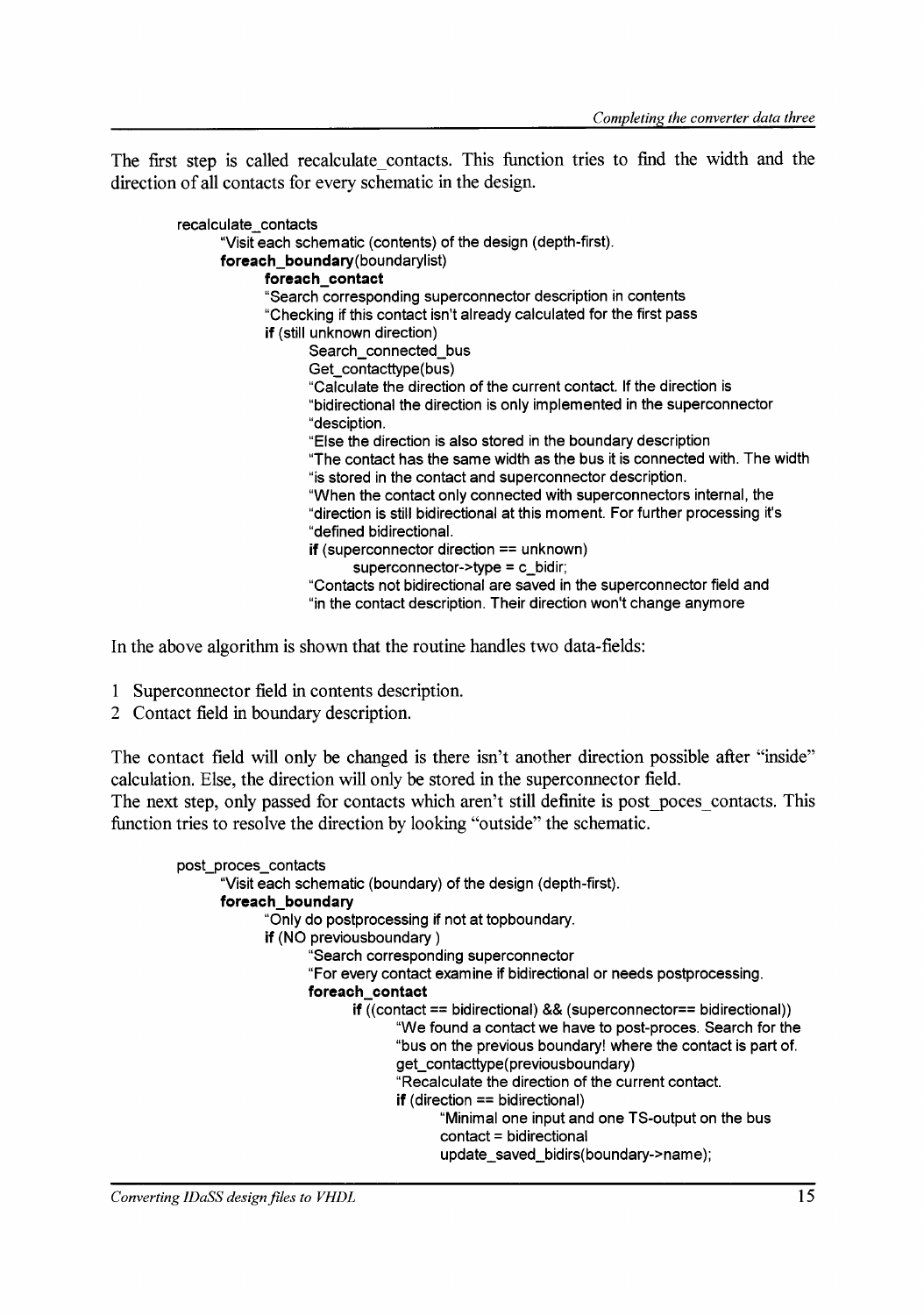The first step is called recalculate\_contacts. This function tries to find the width and the direction of all contacts for every schematic in the design.

| recalculate contacts           |                                                                                                                                  |
|--------------------------------|----------------------------------------------------------------------------------------------------------------------------------|
|                                | "Visit each schematic (contents) of the design (depth-first).                                                                    |
| foreach_boundary(boundarylist) |                                                                                                                                  |
| foreach_contact                |                                                                                                                                  |
|                                | "Search corresponding superconnector description in contents                                                                     |
|                                | "Checking if this contact isn't already calculated for the first pass                                                            |
| if (still unknown direction)   |                                                                                                                                  |
|                                | Search_connected_bus                                                                                                             |
|                                | Get_contacttype(bus)                                                                                                             |
|                                | "Calculate the direction of the current contact. If the direction is                                                             |
|                                | "bidirectional the direction is only implemented in the superconnector                                                           |
| "desciption.                   |                                                                                                                                  |
|                                | "Else the direction is also stored in the boundary description                                                                   |
|                                | "The contact has the same width as the bus it is connected with. The width                                                       |
|                                | "is stored in the contact and superconnector description.<br>"When the contact only connected with superconnectors internal, the |
|                                | "direction is still bidirectional at this moment. For further processing it's                                                    |
|                                | "defined bidirectional.                                                                                                          |
|                                | if (superconnector direction $==$ unknown)                                                                                       |
|                                | superconnector- $>$ type = c_bidir;                                                                                              |
|                                | "Contacts not bidirectional are saved in the superconnector field and                                                            |
|                                | "in the contact description. Their direction won't change anymore                                                                |
|                                |                                                                                                                                  |

In the above algorithm is shown that the routine handles two data-fields:

- 1 Superconnector field in contents description.
- 2 Contact field in boundary description.

The contact field will only be changed is there isn't another direction possible after "inside" calculation. Else, the direction will only be stored in the superconnector field.

The next step, only passed for contacts which aren't still definite is post poces contacts. This function tries to resolve the direction by looking "outside" the schematic.

```
post_proces_contacts 
      "Visit each schematic (boundary) of the design (depth-first). 
      foreach_boundary 
             "Only do postprocessing if not at topboundary. 
             if (NO previousboundary ) 
                    "Search corresponding superconnector 
                   "For every contact examine if bidirectional or needs postprocessing. 
                   foreach_contact 
                          if ((contact== bidirectional) && (superconnector== bidirectional)) 
                                 "We found a contact we have to post-proces. Search for the 
                                "bus on the previous boundary! where the contact is part of. 
                                get_contacttype(previousboundary) 
                                 "Recalculate the direction of the current contact. 
                                if (direction == bidirectional)
                                       "Minima! one input and one TS-output on the bus 
                                       contact= bidirectional 
                                       update_saved_bidirs(boundary->name);
```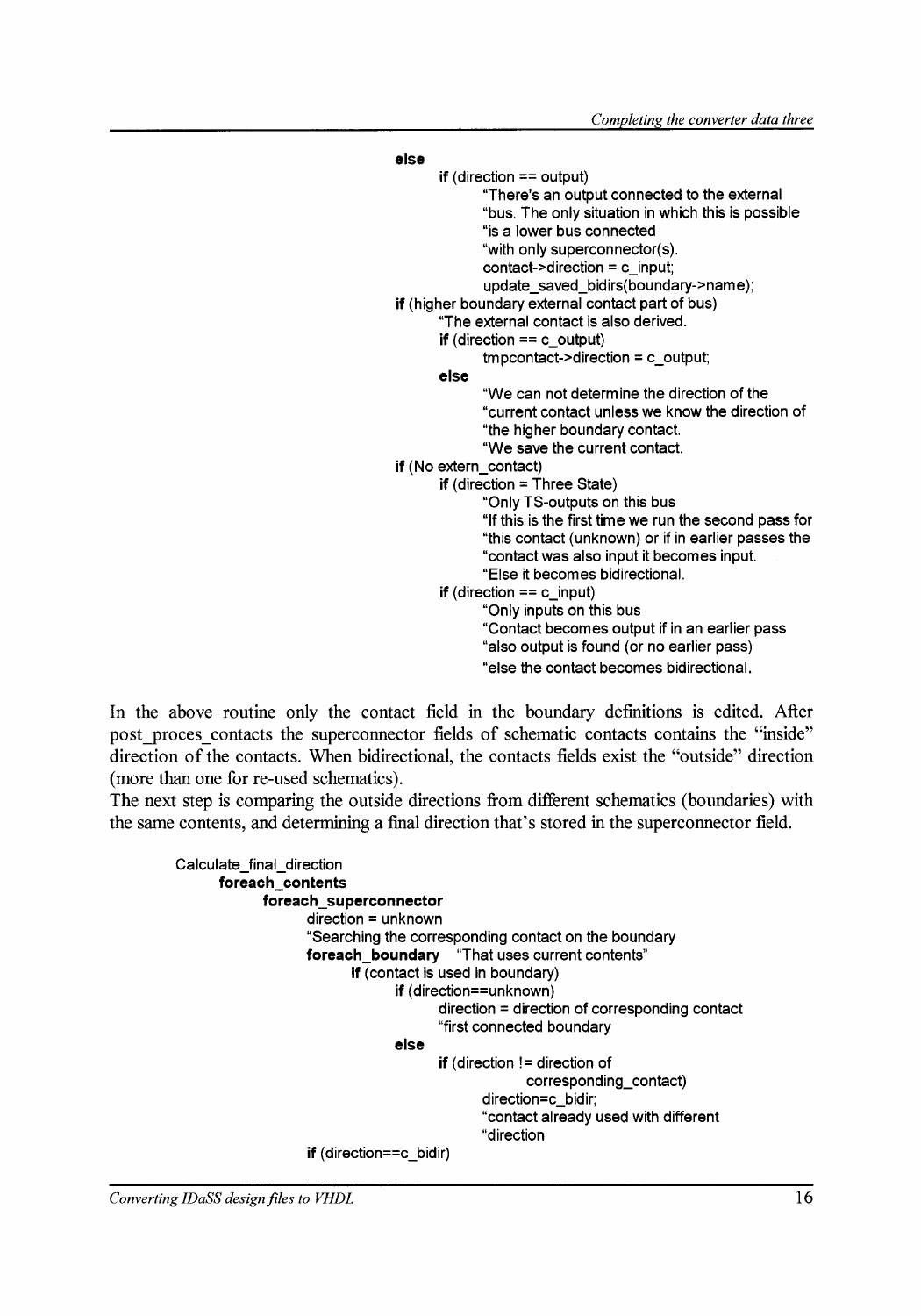| else                                                  |
|-------------------------------------------------------|
| if (direction $==$ output)                            |
| "There's an output connected to the external          |
| "bus. The only situation in which this is possible    |
| "is a lower bus connected                             |
| "with only superconnector(s).                         |
| contact->direction = $c$ _input;                      |
| update_saved_bidirs(boundary->name),                  |
| if (higher boundary external contact part of bus)     |
| "The external contact is also derived.                |
| <b>if</b> (direction $== c$ output)                   |
| $impcontact$ ->direction = c_output;                  |
| else                                                  |
| "We can not determine the direction of the            |
| "current contact unless we know the direction of      |
| "the higher boundary contact.                         |
| "We save the current contact.                         |
| if (No extern_contact)                                |
| <b>if</b> (direction = Three State)                   |
| "Only TS-outputs on this bus                          |
| "If this is the first time we run the second pass for |
| "this contact (unknown) or if in earlier passes the   |
| "contact was also input it becomes input.             |
| "Else it becomes bidirectional.                       |
| <b>if</b> (direction $== c$ input)                    |
| "Only inputs on this bus                              |
| "Contact becomes output if in an earlier pass         |
| "also output is found (or no earlier pass)            |
| "else the contact becomes bidirectional.              |
|                                                       |

In the above routine only the contact field in the boundary definitions is edited. After post\_proces\_contacts the superconnector fields of schematic contacts contains the "inside" direction of the contacts. When bidirectional, the contacts fields exist the "outside" direction (more than one for re-used schernatics).

The next step is comparing the outside directions from different schematics (boundaries) with the same contents, and determining a final direction that's stored in the superconnector field.

```
Calculate_final_direction 
      foreach_contents 
             foreach_superconnector 
                   direction = unknown 
                   "Searching the corresponding contact on the boundary
                   foreach_boundary "That uses current contents" 
                          if (contact is used in boundary)
                                if (direction==unknown) 
                                el se 
                                       direction = direction of corresponding contact
                                       "first connected boundary 
                                       if (direction != direction of
                                                    corresponding_contact)
                                              direction=c_bidir; 
                                              "contact already used with different
                                              "direction 
                   if (direction==c_bidir)
```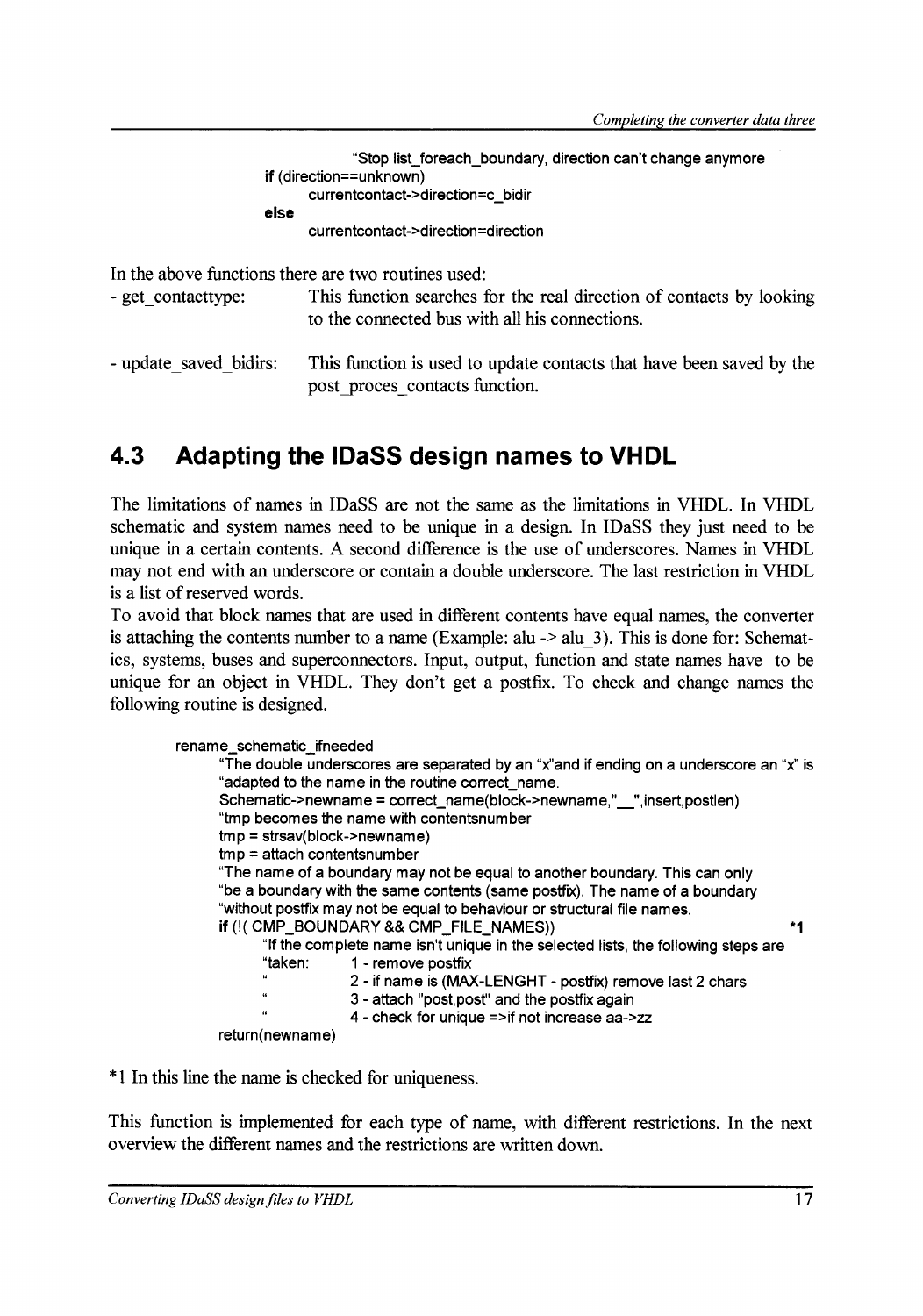| "Stop list_foreach_boundary, direction can't change anymore |
|-------------------------------------------------------------|
| <b>if</b> (direction==unknown)                              |
| currentcontact->direction=c bidir                           |
| else                                                        |
| currentcontact->direction=direction                         |
|                                                             |

In the above functions there are two routines used:

- get contacttype: This function searches for the real direction of contacts by looking to the connected bus with all his connections.

```
- update saved bidirs: This function is used to update contacts that have been saved by the
                         post proces contacts function.
```
### **4.3 Adapting the IDaSS design narnes to VHDL**

The limitations of narnes in IDaSS are not the same as the limitations in VHDL. In VHDL schematic and system narnes need to be unique in a design. In IDaSS they just need to he unique in a certain contents. A second difference is the use of underscores. Narnes in VHDL may not end with an underscore or contain a double underscore. The last restrietion in VHDL is a list of reserved words.

To avoid that block names that are used in different contents have equal names, the converter is attaching the contents number to a name (Example:  $alu \rightarrow alu-3$ ). This is done for: Schematics, systems, buses and superconnectors. Input, output, function and state narnes have to be unique for an object in VHDL. They don't get a postfix. To check and change narnes the following routine is designed.

```
rename_schematic_ifneeded 
      "The double underscores are separated by an "x''and if ending on a underscore an "x'' is 
      "adapted to the name in the routine correct_name. 
      Schematic->newname = correct_name(block->newname,"_",insert,postlen) 
      "tmp becomes the name with contentsnumber 
      tmp = strsav(block->newname) 
      tmp = attach contentsnumber 
      "The name of a boundary may not be equal to another boundary. This can only 
      "be a boundary with the same contents (same postfix). The name of a boundary 
      "without postfix may not be equal to behaviour or structural file names.
      if (!( CMP _BOUNDARY && CMP _FILE_NAMES)) *1 
            "lf the complete name isn't unique in the selected lists, the following steps are 
            "taken: 1 - remove postfix 
                        2 - if name is (MAX-LENGHT - postfix) remove last 2 chars 
            \mu3- attach "post, post" and the postfix again 
                        4 - check for unique =>if not increase aa->zz 
      return(newname)
```
\* 1 In this line the name is checked for uniqueness.

This function is implemented for each type of name, with different restrictions. In the next overview the different narnes and the restrictions are written down.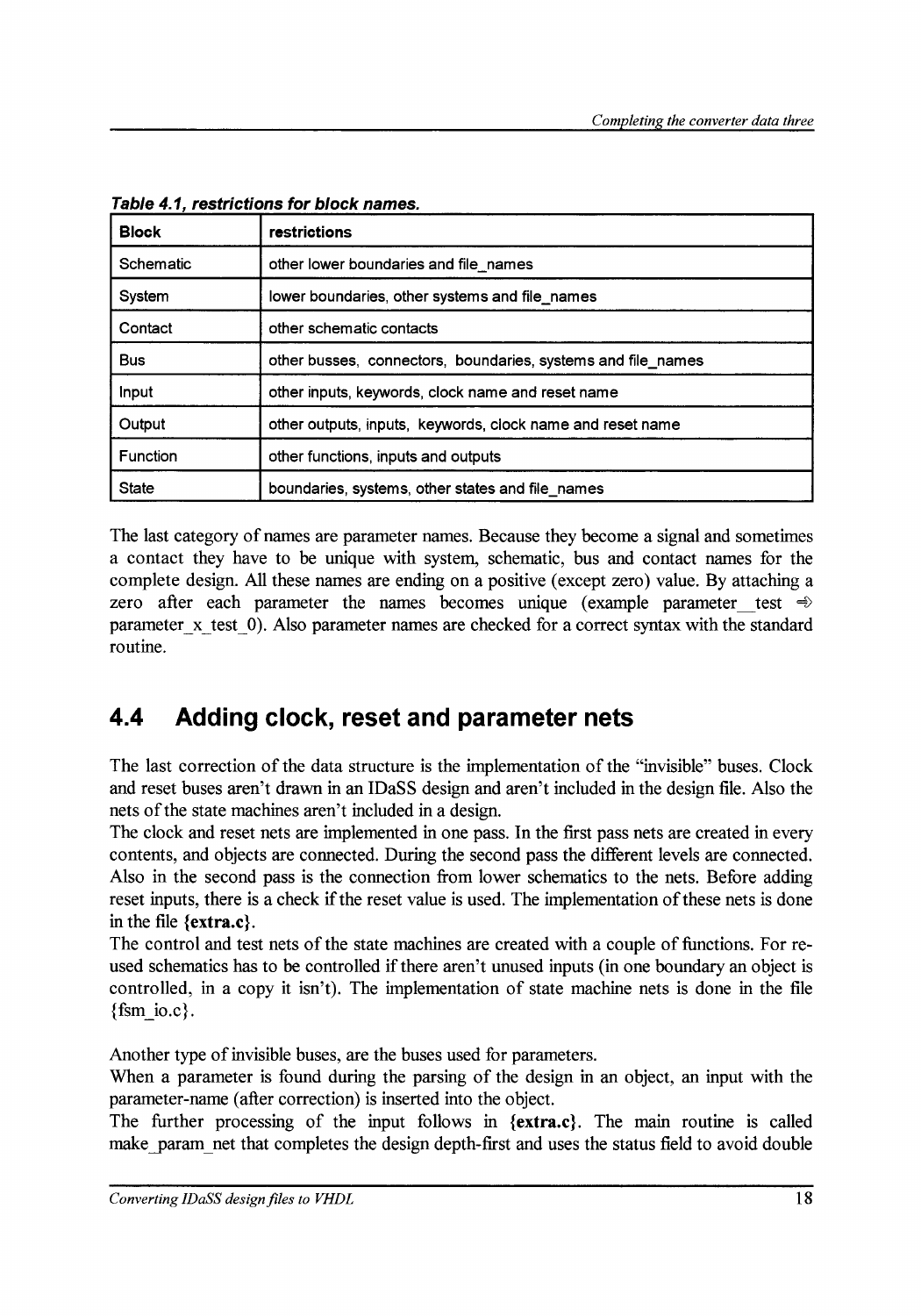| <b>Block</b>    | restrictions                                                 |
|-----------------|--------------------------------------------------------------|
| Schematic       | other lower boundaries and file names                        |
| System          | lower boundaries, other systems and file names               |
| Contact         | other schematic contacts                                     |
| <b>Bus</b>      | other busses, connectors, boundaries, systems and file_names |
| Input           | other inputs, keywords, clock name and reset name            |
| Output          | other outputs, inputs, keywords, clock name and reset name   |
| <b>Function</b> | other functions, inputs and outputs                          |
| <b>State</b>    | boundaries, systems, other states and file_names             |

Table 4.1, restrictions for block names.

The last category of names are parameter names. Because they become a signal and sometimes a contact they have to be unique with system, schematic, bus and contact narnes for the complete design. All these names are ending on a positive (except zero) value. By attaching a zero after each parameter the names becomes unique (example parameter test  $\Rightarrow$ parameter x test 0). Also parameter names are checked for a correct syntax with the standard routine.

### **4.4 Adding clock, reset and parameter nets**

The last correction of the data structure is the implementation of the "invisible" buses. Clock and reset buses aren't drawn in an IDaSS design and aren't included in the design file. Also the nets of the state machines aren't included in a design.

The clock and reset nets are implemented in one pass. In the first pass nets are created in every contents, and objects are connected. During the second pass the different levels are connected. Also in the second pass is the connection from lower schematics to the nets. Before adding reset inputs, there is a check if the reset value is used. The implementation of these nets is done in the file {extra.c}.

The control and test nets of the state machines are created with a couple of functions. For reused schematics has to be controlled if there aren't unused inputs (in one boundary an object is controlled, in a copy it isn't). The implementation of state machine nets is done in the file  ${fsm}$  io.c..

Another type of invisible buses, are the buses used for parameters.

When a parameter is found during the parsing of the design in an object, an input with the parameter-name (after correction) is inserted into the object.

The further processing of the input follows in {extra.c}. The main routine is called make param net that completes the design depth-first and uses the status field to avoid double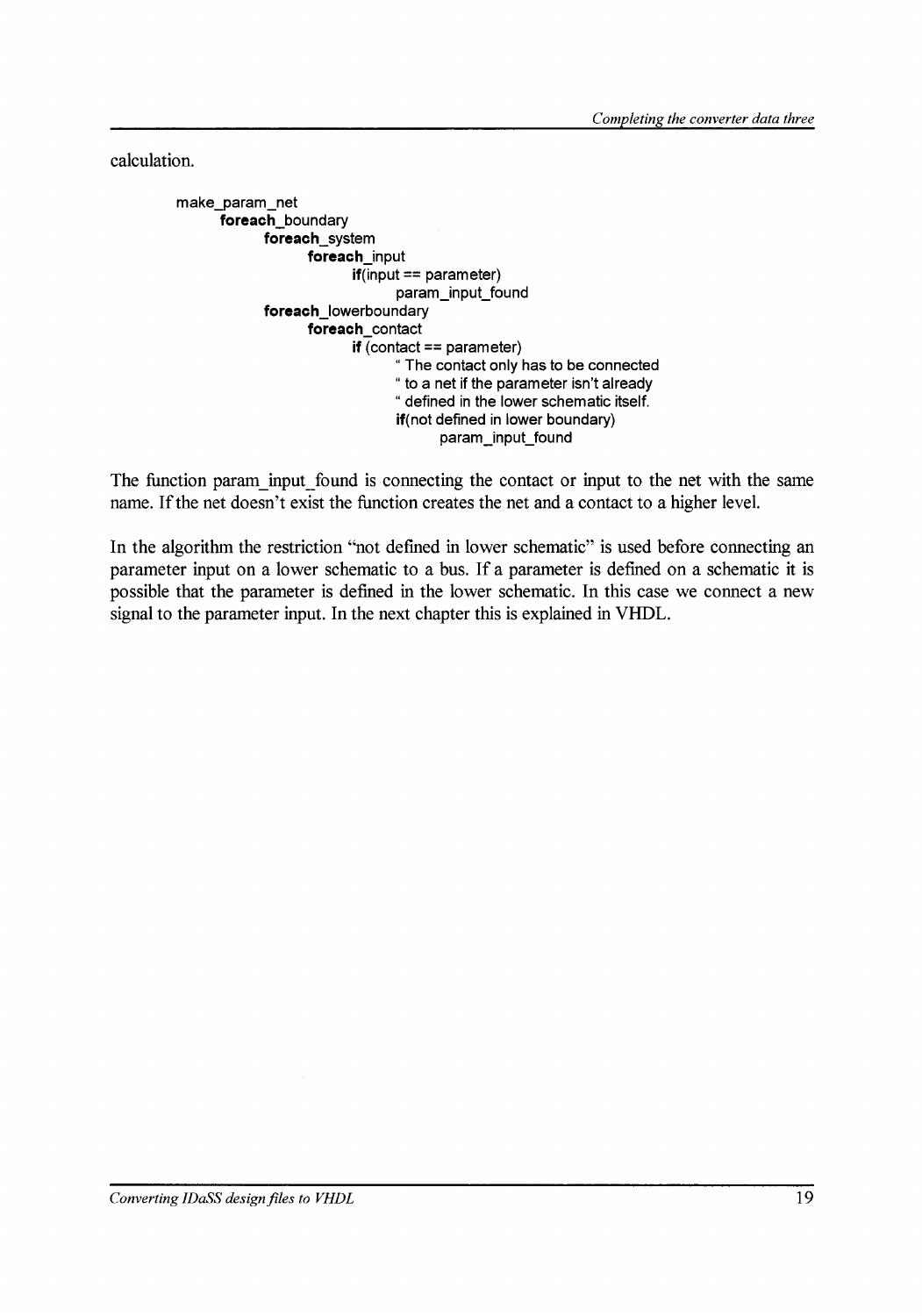calculation.

make\_param\_net foreach boundary foreach\_system foreach\_input  $if$ (input == parameter) param\_input\_found foreach\_lowerboundary foreach contact  $if$  (contact == parameter) " The contact only has to be connected " to a net if the parameter isn't already "defined in the lower schematic itself. if(not defined in lower boundary) param\_input\_found

The function param input found is connecting the contact or input to the net with the same name. If the net doesn't exist the function creates the net and a contact to a higher level.

In the algorithm the restriction "not defined in lower schematic" is used before connecting an parameter input on a lower schematic to a bus. If a parameter is defmed on a schematic it is possible that the parameter is defined in the lower schematic. In this case we conneet a new signal to the parameter input. In the next chapter this is explained in VHDL.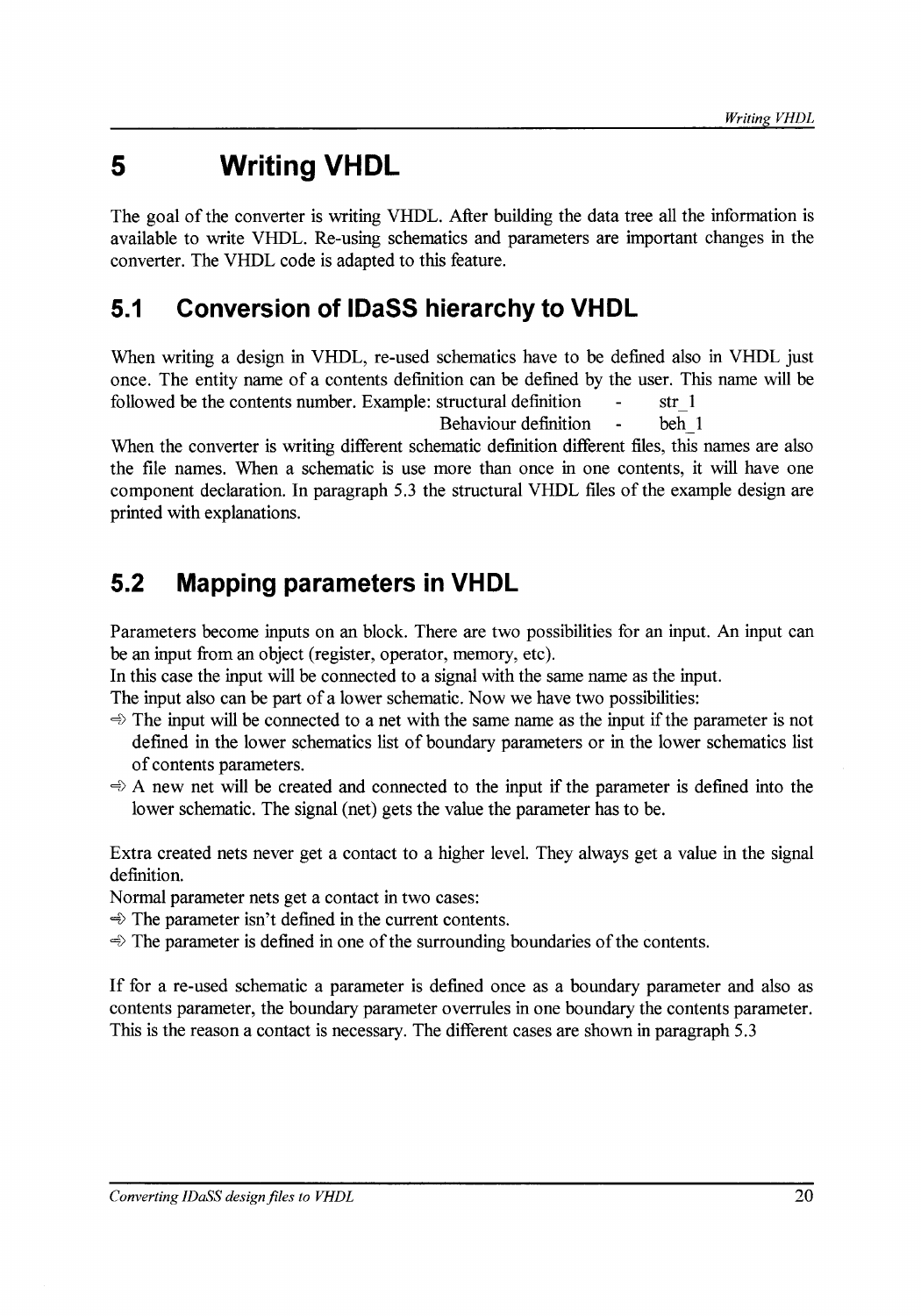# **5 Writing VHDL**

The goal of the converter is writing VHDL. After building the data tree all the information is available to write VHDL. Re-using schematics and parameters are important changes in the converter. The VHDL code is adapted to this feature.

## **5.1 Conversion of IDaSS hierarchy to VHDL**

When writing a design in VHDL, re-used schematics have to he defined also in VHDL just once. The entity name of a contents definition can he defined by the user. This name will he followed be the contents number. Example: structural definition - str 1

Behaviour definition - beh 1

When the converter is writing different schematic definition different files, this names are also the file names. When a schematic is use more than once in one contents, it will have one component declaration. In paragraph 5.3 the structural VHDL files of the example design are printed with explanations.

## **5.2 Mapping parameters in VHDL**

Parameters become inputs on an block. There are two possibilities for an input. An input can he an input from an object (register, operator, memory, etc).

In this case the input will be connected to a signal with the same name as the input.

The input also can he part of a lower schematic. Now we have two possibilities:

- $\Rightarrow$  The input will be connected to a net with the same name as the input if the parameter is not defined in the lower schematics list of boundary parameters or in the lower schematics list of contents parameters.
- $\Rightarrow$  A new net will be created and connected to the input if the parameter is defined into the lower schematic. The signal (net) gets the value the parameter has to be.

Extra created nets never get a contact to a higher level. They always get a value in the signal definition.

Normal parameter nets get a contact in two cases:

 $\Rightarrow$  The parameter isn't defined in the current contents.

 $\Rightarrow$  The parameter is defined in one of the surrounding boundaries of the contents.

If for a re-used schematic a parameter is defined once as a boundary parameter and also as contents parameter, the boundary parameter overrules in one boundary the contents parameter. This is the reason a contact is necessary. The different cases are shown in paragraph 5.3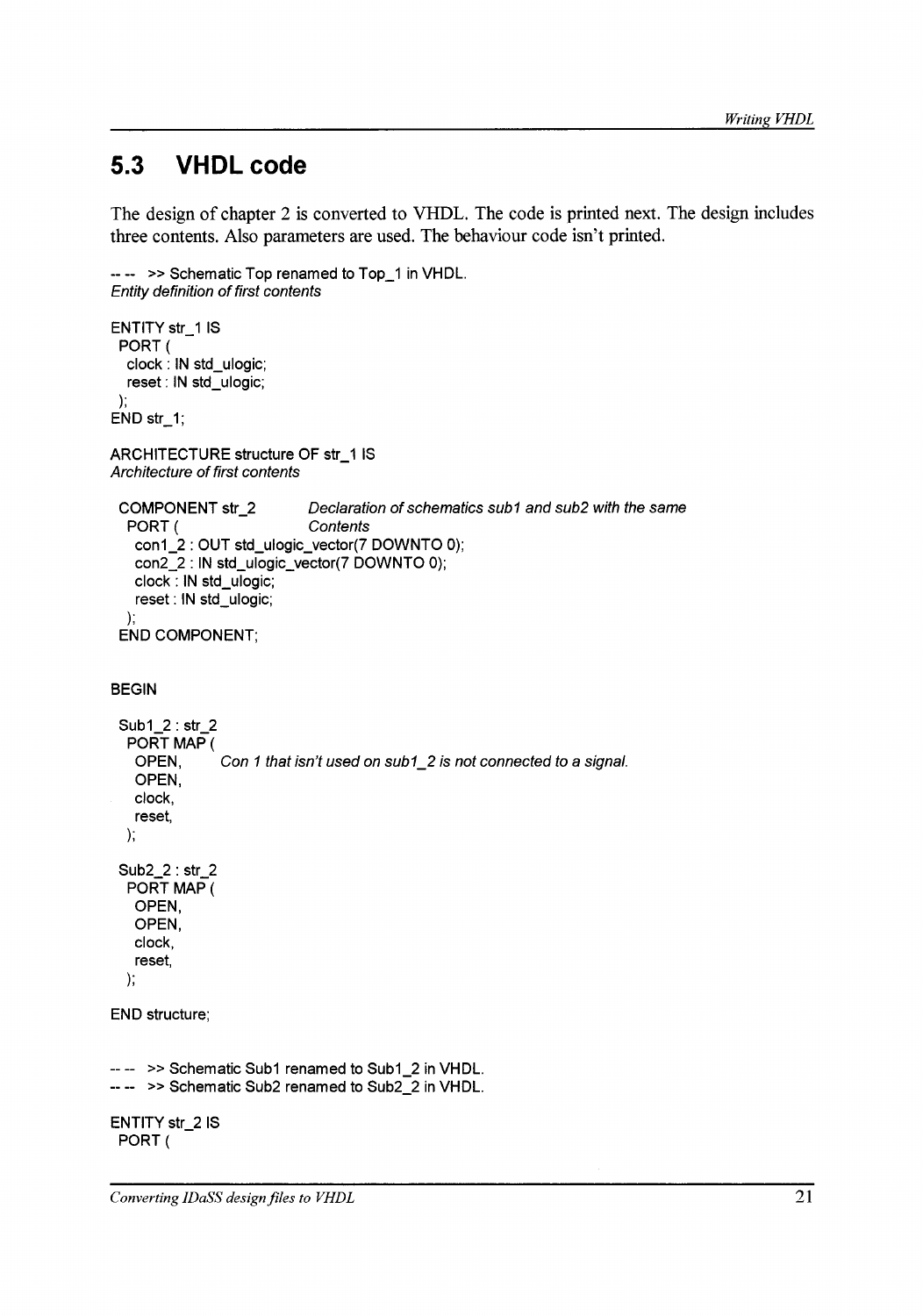### **5.3 VHDL code**

The design of chapter 2 is converted to VHDL. The code is printed next. The design includes three contents. Also parameters are used. The behaviour code isn't printed.

```
---- » Schematic Top renamed to Top_1 in VHDL. 
Entity definition of first contents
```

```
ENTITY str_1 IS 
 PORT( 
  clock : IN std_ulogic; 
  reset : IN std_ulogic; 
 ); 
END str_1; 
ARCHITECTURE structure OF str_1 IS 
Architecture of first contents 
 COMPONENT str_2 Dec/aration of schematics sub1 and sub2 with the same 
  PORT ( Contents
  ); 
   con1_2 : OUT std_ulogic_vector(7 DOWNTO 0); 
   con2_2 : IN std_ulogic_vector(7 DOWNTO 0); 
   clock : IN std_ulogic; 
   reset: IN std_ulogic; 
 END COMPONENT; 
BEGIN 
 Sub1_2 : str_2 
  PORT MAP ( 
   OPEN, Con 1 that isn't used on sub1_2 is not connected to a signal.
   OPEN, 
   clock, 
   reset, 
  ); 
 Sub2_2 : str_2 
  PORT MAP ( 
   OPEN, 
   OPEN, 
   clock, 
   reset, 
  ); 
END structure; 
-- >> Schematic Sub1 renamed to Sub1_2 in VHDL.
\leftarrow >> Schematic Sub2 renamed to Sub2<sup>\overline{\phantom{a}}</sup>2 in VHDL.
ENTITY str_2 IS 
 PORT(
```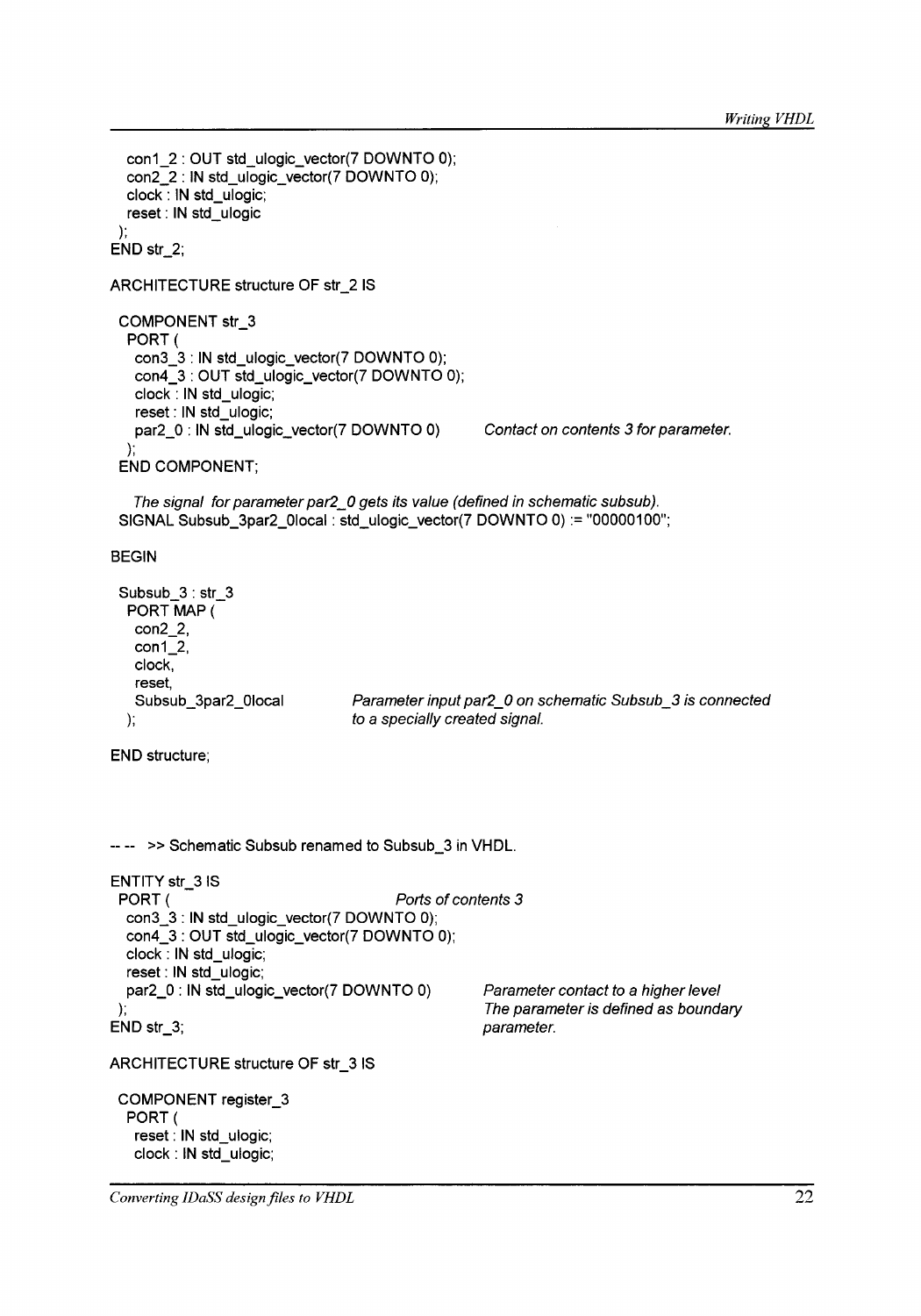```
); 
  con1_2: OUT std_ulogic_vector(7 DOWNTO 0); 
  con2_2 : IN std_ulogic_vector(7 DOWNTO 0); 
  clock : IN std_ulogic; 
  reset: IN std_ulogic 
END str_2; 
ARCHITECTURE structure OF str_2 IS 
 COMPONENT str_3 
  PORT( 
   con3_3 : IN std_ulogic_vector(7 DOWNTO 0); 
   con4_3 : OUT std_ulogic_vector(7 DOWNTO 0); 
   clock : IN std_ulogic; 
   reset : IN std_ulogic; 
   par2_0 : IN std_ulogic_vector(7 DOWNTO 0) Contact on contents 3 for parameter. 
  ); 
 END COMPONENT; 
   The signal for parameter par2_0 gets its value (defined in schematic subsub).
 SIGNAL Subsub_3par2_01ocal: std_ulogic_vector(7 DOWNTO 0) := "00000100"; 
BEGIN 
 Subsub 3 : str 3
  PORT MAP ( 
   con2_2, 
   con1_2, 
   clock, 
  ); 
   reset, 
   Subsub_3par2_01ocal Parameter input par2_0 on schematic Subsub_3 is connected 
                                 to a specially created signa/. 
END structure; 
-- -- » Schematic Subsub renamed to Subsub_3 in VHDL. 
ENTITY str_3 IS
 PORT ( Ports of contents 3 
  con3_3 : IN std_ulogic_vector(7 DOWNTO 0);
  con4_3 : OUT std_ulogic_vector(7 DOWNTO 0); 
  clock : IN std_ulogic; 
  reset : IN std_ulogic; 
  par2_0 : IN std_ulogic_vector(7 DOWNTO 0) 
); 
                                                   Parameter contact to a higher level 
                                                   The parameter is defined as boundary
```
parameter.

ARCHITECTURE structure OF str\_3 IS

COMPONENT register\_3 PORT ( reset: IN std\_ulogic; clock : IN std\_ulogic;

END str\_3;

*Converting IDaSS design files to VHDL*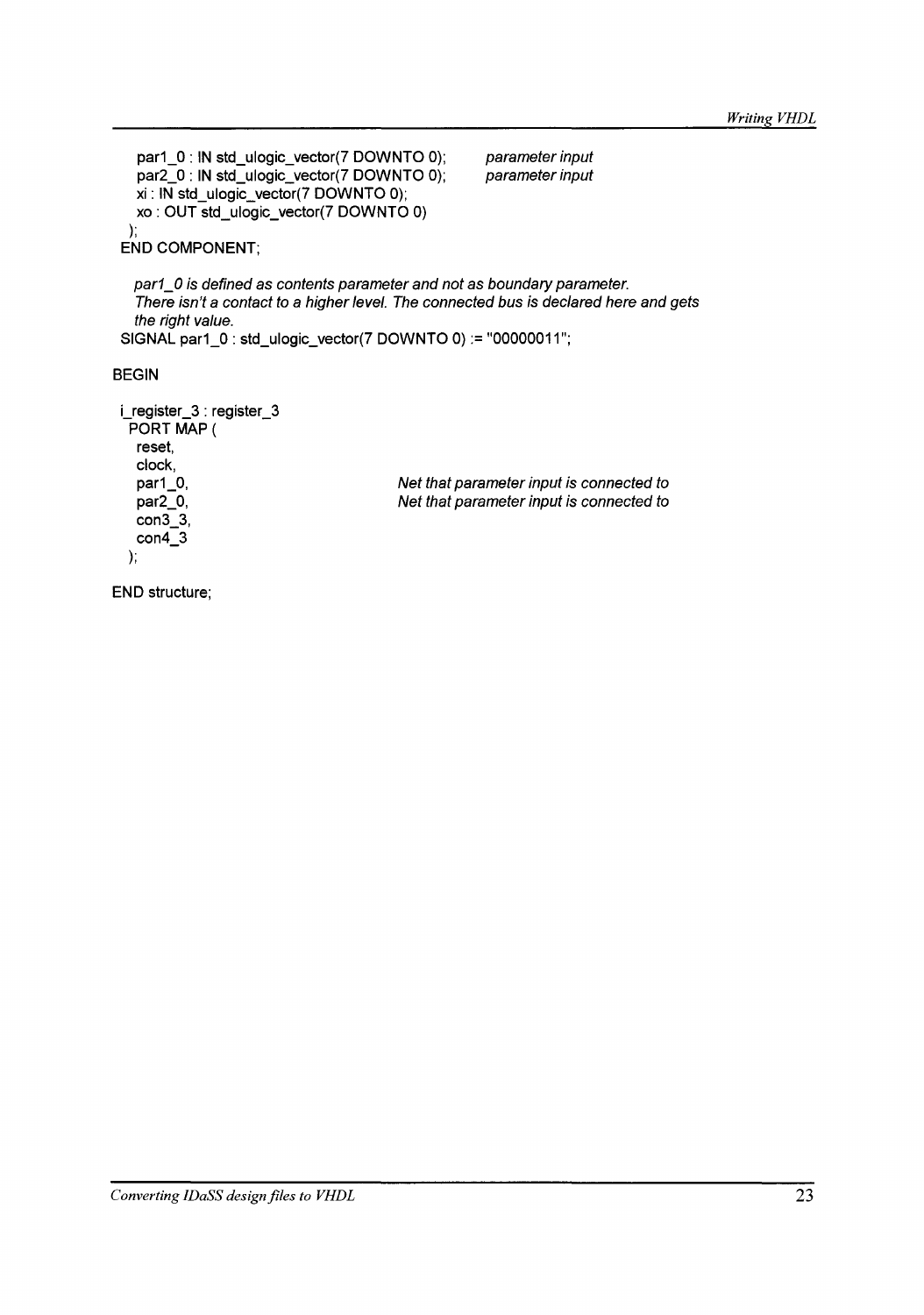```
par1_0 : IN std_ulogic_vector(7 DOWNTO 0); 
   par2_0 : IN std_ulogic_vector(7 DOWNTO 0); 
   xi : IN std_ulogic_vector(7 DOWNTO 0); 
   xo : OUT std_ulogic_vector(7 DOWNTO 0) 
  ); 
 END COMPONENT; 
                                                      parameter input 
                                                      parameter input 
   par1_0 is defined as contents parameter and not as boundary parameter. 
   There isn't a contact to a higher level. The connected bus is declared here and gets
   the right value. 
 SIGNAL par1_0 : std_ulogic_vector(7 DOWNTO 0) := "00000011 "; 
BEGIN 
 i_register_3 : register_3 
  PORT MAP ( 
   reset, 
  ); 
   clock, 
   par1_0, 
   par2_0, 
   con3_3, 
   con4_3 
                                         Net that parameter input is connected to
                                         Net that parameter input is connected to
```
END structure;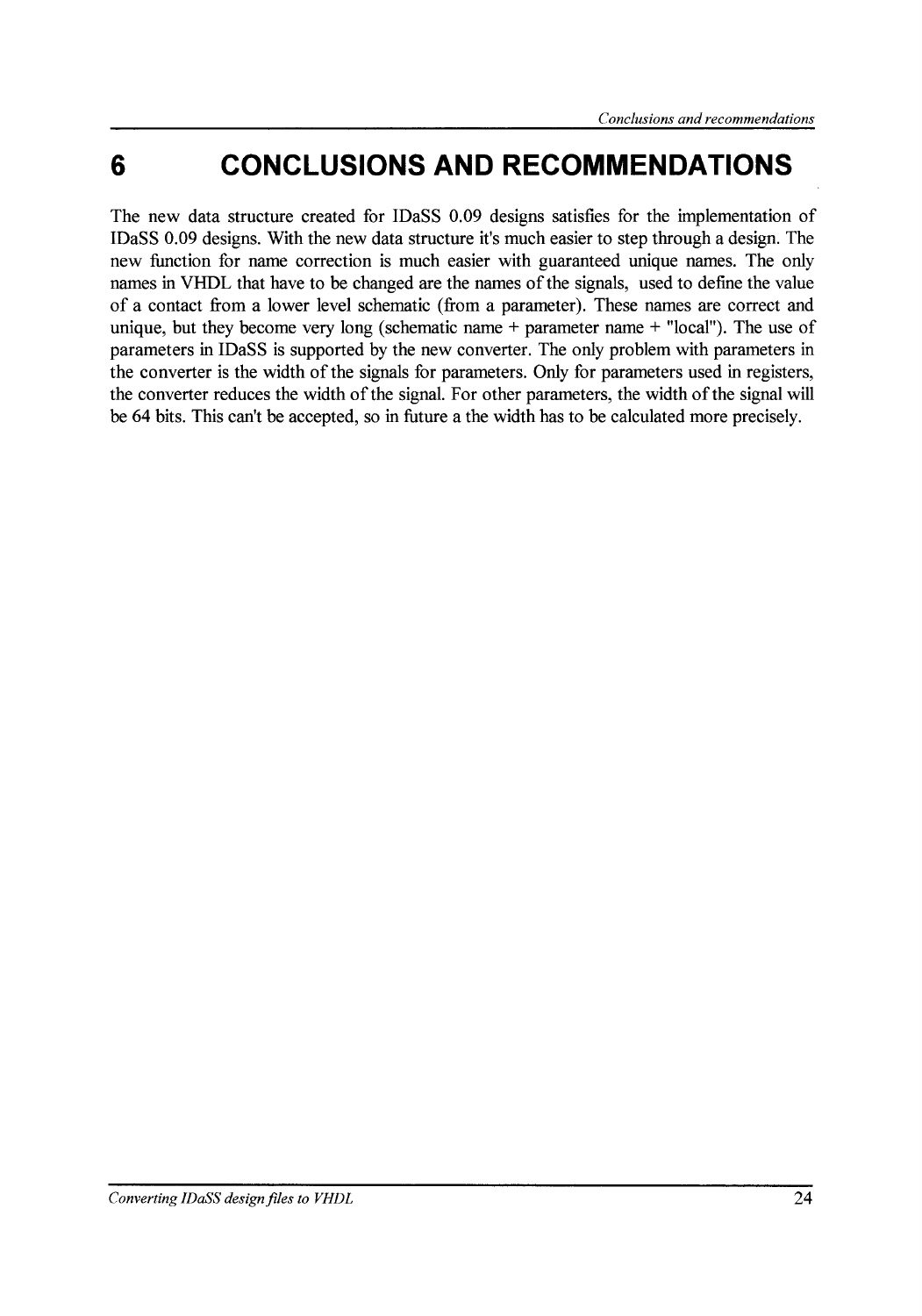## **6 CONCLUSIONS AND RECOMMENDATIONS**

The new data structure created for IDaSS 0.09 designs satisfies for the implementation of IDaSS 0.09 designs. With the new data structure it's much easier to step through a design. The new function for name correction is much easier with guaranteed unique names. The only names in VHDL that have to be changed are the names of the signals, used to define the value of a contact from a lower level schematic (from a parameter). These narnes are correct and unique, but they become very long (schematic name  $+$  parameter name  $+$  "local"). The use of parameters in IDaSS is supported by the new converter. The only problem with parameters in the converter is the width of the signals for parameters. Only for parameters used in registers, the converter reduces the width of the signal. For other parameters, the width of the signal will be 64 bits. This can't be accepted, so in future a the width has to be calculated more precisely.